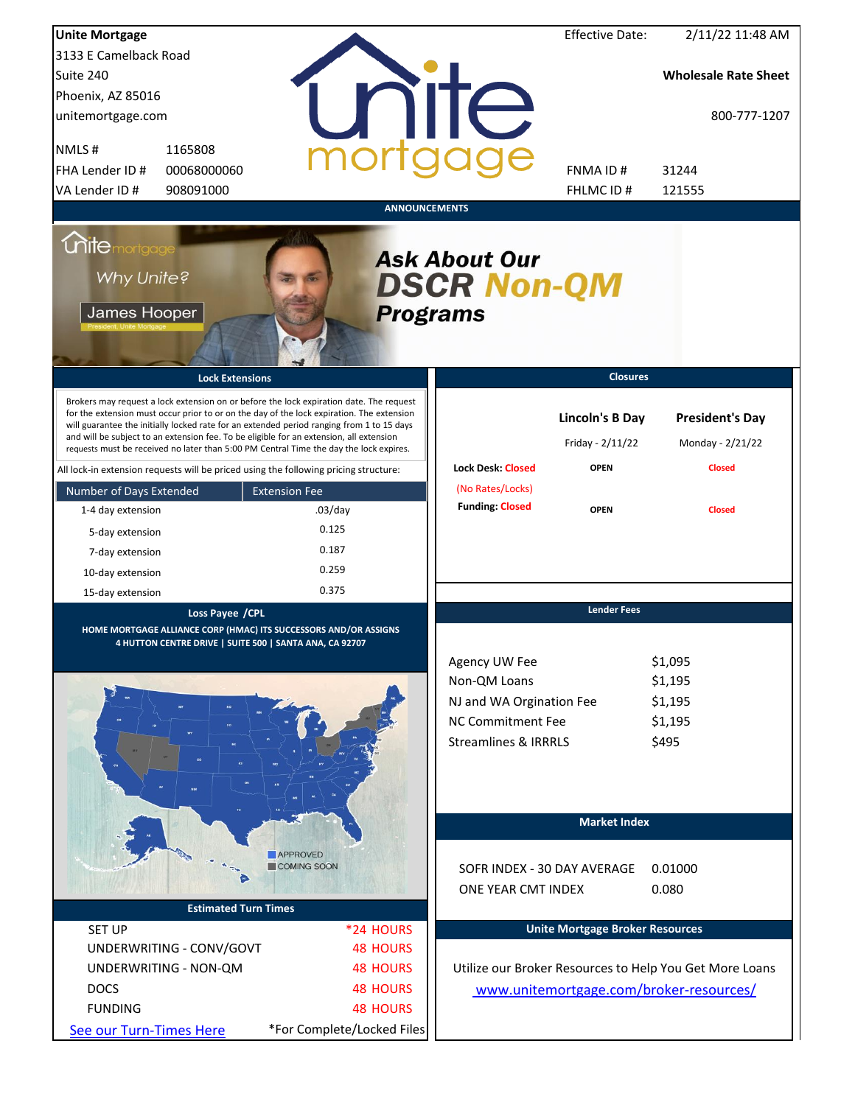| <b>Unite Mortgage</b>                                                                                                                                                                |                      |                                                   | <b>Effective Date:</b>                 | 2/11/22 11:48 AM                                        |
|--------------------------------------------------------------------------------------------------------------------------------------------------------------------------------------|----------------------|---------------------------------------------------|----------------------------------------|---------------------------------------------------------|
| 3133 E Camelback Road                                                                                                                                                                |                      |                                                   |                                        |                                                         |
| Suite 240                                                                                                                                                                            |                      |                                                   |                                        | <b>Wholesale Rate Sheet</b>                             |
| Phoenix, AZ 85016                                                                                                                                                                    |                      |                                                   |                                        |                                                         |
| unitemortgage.com                                                                                                                                                                    | nite                 |                                                   |                                        | 800-777-1207                                            |
| 1165808<br>NMLS#                                                                                                                                                                     |                      |                                                   |                                        |                                                         |
| FHA Lender ID #<br>00068000060                                                                                                                                                       |                      |                                                   | <b>FNMAID#</b>                         | 31244                                                   |
| VA Lender ID #<br>908091000                                                                                                                                                          |                      |                                                   | FHLMC ID#                              | 121555                                                  |
| <b>Chitemortgage</b><br>Why Unite?<br>James Hooper<br><b>Lock Extensions</b>                                                                                                         | <b>Programs</b>      | <b>Ask About Our</b><br><b>DSCR Non-QM</b>        | <b>Closures</b>                        |                                                         |
| Brokers may request a lock extension on or before the lock expiration date. The request                                                                                              |                      |                                                   |                                        |                                                         |
| for the extension must occur prior to or on the day of the lock expiration. The extension                                                                                            |                      |                                                   | <b>Lincoln's B Day</b>                 | <b>President's Day</b>                                  |
| will guarantee the initially locked rate for an extended period ranging from 1 to 15 days<br>and will be subject to an extension fee. To be eligible for an extension, all extension |                      |                                                   |                                        |                                                         |
| requests must be received no later than 5:00 PM Central Time the day the lock expires.                                                                                               |                      |                                                   | Friday - 2/11/22                       | Monday - 2/21/22                                        |
| All lock-in extension requests will be priced using the following pricing structure:                                                                                                 |                      | <b>Lock Desk: Closed</b>                          | <b>OPEN</b>                            | <b>Closed</b>                                           |
| Number of Days Extended                                                                                                                                                              | <b>Extension Fee</b> | (No Rates/Locks)                                  |                                        |                                                         |
| 1-4 day extension                                                                                                                                                                    | $.03$ /day           | <b>Funding: Closed</b>                            | <b>OPEN</b>                            | <b>Closed</b>                                           |
| 5-day extension                                                                                                                                                                      | 0.125                |                                                   |                                        |                                                         |
| 7-day extension                                                                                                                                                                      | 0.187                |                                                   |                                        |                                                         |
| 10-day extension                                                                                                                                                                     | 0.259                |                                                   |                                        |                                                         |
| 15-day extension                                                                                                                                                                     | 0.375                |                                                   |                                        |                                                         |
| Loss Payee /CPL<br>HOME MORTGAGE ALLIANCE CORP (HMAC) ITS SUCCESSORS AND/OR ASSIGNS<br>4 HUTTON CENTRE DRIVE   SUITE 500   SANTA ANA, CA 92707                                       |                      |                                                   | <b>Lender Fees</b>                     |                                                         |
|                                                                                                                                                                                      |                      | Agency UW Fee                                     |                                        | \$1,095                                                 |
|                                                                                                                                                                                      |                      | Non-QM Loans                                      |                                        | \$1,195                                                 |
|                                                                                                                                                                                      |                      | NJ and WA Orgination Fee                          |                                        | \$1,195                                                 |
|                                                                                                                                                                                      |                      | <b>NC Commitment Fee</b>                          |                                        | \$1,195                                                 |
|                                                                                                                                                                                      |                      | <b>Streamlines &amp; IRRRLS</b>                   |                                        | \$495                                                   |
|                                                                                                                                                                                      |                      |                                                   | <b>Market Index</b>                    |                                                         |
|                                                                                                                                                                                      | <b>APPROVED</b>      |                                                   |                                        |                                                         |
|                                                                                                                                                                                      | <b>COMING SOON</b>   | SOFR INDEX - 30 DAY AVERAGE<br>ONE YEAR CMT INDEX |                                        | 0.01000<br>0.080                                        |
| <b>Estimated Turn Times</b>                                                                                                                                                          |                      |                                                   |                                        |                                                         |
| <b>SET UP</b>                                                                                                                                                                        | *24 HOURS            |                                                   | <b>Unite Mortgage Broker Resources</b> |                                                         |
| UNDERWRITING - CONV/GOVT                                                                                                                                                             | <b>48 HOURS</b>      |                                                   |                                        |                                                         |
| UNDERWRITING - NON-QM                                                                                                                                                                | <b>48 HOURS</b>      |                                                   |                                        | Utilize our Broker Resources to Help You Get More Loans |
| <b>DOCS</b>                                                                                                                                                                          | <b>48 HOURS</b>      |                                                   |                                        | www.unitemortgage.com/broker-resources/                 |
| <b>FUNDING</b>                                                                                                                                                                       | <b>48 HOURS</b>      |                                                   |                                        |                                                         |
|                                                                                                                                                                                      |                      |                                                   |                                        |                                                         |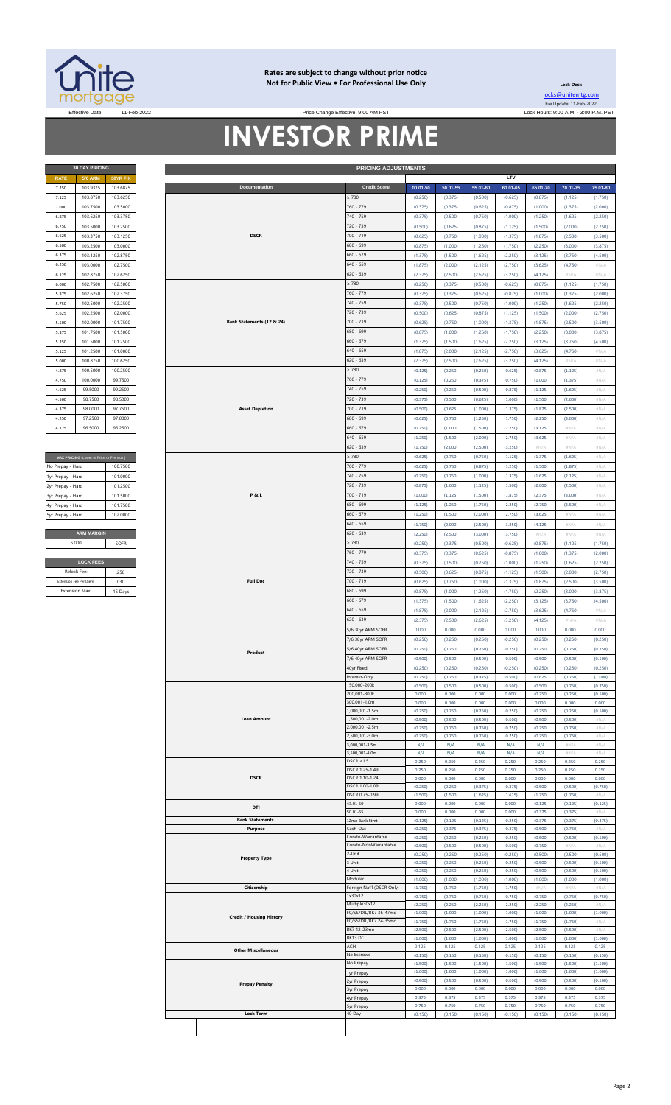

#### **Rates are subject to change without prior notice Not for Public View • For Professional Use Only**

Price Change Effective: 9:00 AM PST

**Lock Desk** [locks@unitemtg](mailto:locks@unitemtg.com).com File Update: 11-Feb-2022

Effective Date: 11-Feb-2022 Lock Hours: 9:00 A.M. - 3:00 P.M. PST

# **INVESTOR PRIME**

|             | <b>30 DAY PRICING</b> |                 |                           | <b>PRICING ADJUSTMENTS</b> |          |          |          |          |          |          |
|-------------|-----------------------|-----------------|---------------------------|----------------------------|----------|----------|----------|----------|----------|----------|
| <b>RATE</b> | <b>5/6 ARM</b>        | <b>30YR FIX</b> |                           |                            |          |          |          | LTV      |          |          |
| 7.250       | 103.9375              | 103.6875        | <b>Documentation</b>      | <b>Credit Score</b>        | 00.01-50 | 50.01-55 | 55.01-60 | 60.01-65 | 65.01-70 | 70.01-75 |
| 7.125       | 103,8750              | 103.6250        |                           | $\geq 780$                 | (0.250)  | (0.375)  | (0.500)  | (0.625)  | (0.875)  | (1.125)  |
| 7.000       | 103.7500              | 103,5000        |                           | 760 - 779                  | (0.375)  | (0.375)  | (0.625)  | (0.875)  | (1.000)  | (1.375)  |
| 6.875       | 103,6250              | 103,3750        |                           | 740 - 759                  | (0.375)  | (0.500)  | (0.750)  | (1.000)  | (1.250)  | (1.625)  |
| 6.750       | 103,5000              | 103,2500        |                           | 720 - 739                  | (0.500)  | (0.625)  | (0.875)  | (1.125)  | (1.500)  | (2.000)  |
| 6.625       | 103,3750              | 103.1250        | <b>DSCR</b>               | $700 - 719$                | (0.625)  | (0.750)  | (1.000)  | (1.375)  | (1.875)  | (2.500)  |
| 6.500       | 103.2500              | 103,0000        |                           | 680 - 699                  | (0.875)  | (1.000)  | (1.250)  | (1.750)  | (2.250)  | (3.000)  |
| 6.375       | 103.1250              | 102.8750        |                           | $660 - 679$                | (1.375)  | (1.500)  | (1.625)  | (2.250)  | (3.125)  | (3.750)  |
| 6.250       | 103,0000              | 102.7500        |                           | $640 - 659$                | (1.875)  | (2.000)  | (2.125)  | (2.750)  | (3.625)  | (4.750)  |
| 6.125       | 102.8750              | 102.6250        |                           | $620 - 639$                | (2.375)  | (2.500)  | (2.625)  | (3.250)  | (4.125)  | $\#N/A$  |
| 6.000       | 102.7500              | 102.5000        |                           | $\geq 780$                 | (0.250)  | (0.375)  | (0.500)  | (0.625)  | (0.875)  | (1.125)  |
| 5.875       | 102.6250              | 102.3750        |                           | $760 - 779$                | (0.375)  | (0.375)  | (0.625)  | (0.875)  | (1.000)  | (1.375)  |
| 5.750       | 102.5000              | 102.2500        |                           | 740 - 759                  | (0.375)  | (0.500)  | (0.750)  | (1.000)  | (1.250)  | (1.625)  |
| 5.625       | 102.2500              | 102,0000        |                           | 720 - 739                  | (0.500)  | (0.625)  | (0.875)  | (1.125)  | (1.500)  | (2.000)  |
| 5.500       | 102.0000              | 101.7500        | Bank Statements (12 & 24) | $700 - 719$                | (0.625)  | (0.750)  | (1.000)  | (1.375)  | (1.875)  | (2.500)  |
| 5.375       | 101.7500              | 101.5000        |                           | 680 - 699                  | (0.875)  | (1.000)  | (1.250)  | (1.750)  | (2.250)  | (3.000)  |
| 5.250       | 101.5000              | 101.2500        |                           | $660 - 679$                | (1.375)  | (1.500)  | (1.625)  | (2.250)  | (3.125)  | (3.750)  |
| 5.125       | 101.2500              | 101.0000        |                           | $640 - 659$                | (1.875)  | (2.000)  | (2.125)  | (2.750)  | (3.625)  | (4.750)  |
| 5.000       | 100,8750              | 100,6250        |                           | $620 - 639$                | (2.375)  | (2.500)  | (2.625)  | (3.250)  | (4.125)  | #N/A     |
| 4.875       | 100,5000              | 100.2500        |                           | $\geq 780$                 | (0.125)  | (0.250)  | (0.250)  | (0.625)  | (0.875)  | (1.125)  |
| 4.750       | 100.0000              | 99.7500         |                           | 760 - 779                  | (0.125)  | (0.250)  | (0.375)  | (0.750)  | (1.000)  | (1.375)  |
| 4.625       | 99.5000               | 99.2500         |                           | 740 - 759                  | (0.250)  | (0.250)  | (0.500)  | (0.875)  | (1.125)  | (1.625)  |
| 4.500       | 98.7500               | 98.5000         |                           | 720 - 739                  | (0.375)  | (0.500)  | (0.625)  | (1.000)  | (1.500)  | (2.000)  |
| 4.375       | 98,0000               | 97.7500         | <b>Asset Depletion</b>    | $700 - 719$                | (0.500)  | (0.625)  | (1.000)  | (1.375)  | (1.875)  | (2.500)  |
| 4.250       | 97.2500               | 97.0000         |                           | 680 - 699                  | (0.625)  | (0.750)  | (1.250)  | (1.750)  | (2.250)  | (3.000)  |
| 4.125       | 96.5000               | 96.2500         |                           | $660 - 679$                | (0.750)  | (1.000)  | (1.500)  | (2.250)  | (3.125)  | #N/A     |

| MAX PRICING (Lower of Price or Premium) |          |
|-----------------------------------------|----------|
| No Prepay - Hard                        | 100 7500 |
| 1yr Prepay - Hard                       | 101 0000 |
| 2yr Prepay - Hard                       | 101 2500 |
| 3yr Prepay - Hard                       | 101 5000 |
| 4yr Prepay - Hard                       | 101 7500 |
| 5yr Prepay - Hard                       | 102.0000 |
|                                         |          |
| <b>ARM MARGIN</b>                       |          |
| 5.000                                   | SOFR     |
|                                         |          |
| <b>LOCK FEES</b>                        |          |
| Relock Fee:                             | 250      |
|                                         |          |

| 7.250             | 103.9375                                | 103.6875 | Documentation                   | <b>Credit Score</b>        | $00.01 - 50$       | $50.01 - 55$       | 55.01-60           | 60.01-65           | 65.01-70           | 70.01-75           | 75.01-80                   |
|-------------------|-----------------------------------------|----------|---------------------------------|----------------------------|--------------------|--------------------|--------------------|--------------------|--------------------|--------------------|----------------------------|
| 7.125             | 103.8750                                | 103.6250 |                                 | : 780                      | (0.250)            | (0.375)            | (0.500)            | (0.625)            | (0.875)            | (1.125)            | (1.750)                    |
| 7.000             | 103.7500                                | 103.5000 |                                 | 760 - 779                  | (0.375)            | (0.375)            | (0.625)            | (0.875)            | (1.000)            | (1.375)            | (2.000)                    |
|                   |                                         |          |                                 | 740 - 759                  |                    |                    |                    |                    |                    |                    |                            |
| 6.875             | 103.6250                                | 103.3750 |                                 |                            | (0.375)            | (0.500)            | (0.750)            | (1.000)            | (1.250)            | (1.625)            | (2.250)                    |
| 6.750             | 103.5000                                | 103.2500 |                                 | 720 - 739                  | (0.500)            | (0.625)            | (0.875)            | (1.125)            | (1.500)            | (2.000)            | (2.750)                    |
| 6.625             | 103.3750                                | 103.1250 | <b>DSCR</b>                     | 700 - 719                  | (0.625)            | (0.750)            | (1.000)            | (1.375)            | (1.875)            | (2.500)            | (3.500)                    |
| 6.500             | 103.2500                                | 103.0000 |                                 | 680 - 699                  | (0.875)            | (1.000)            | (1.250)            | (1.750)            | (2.250)            | (3.000)            | (3.875)                    |
| 6.375             | 103.1250                                | 102.8750 |                                 | $660 - 679$                | (1.375)            | (1.500)            | (1.625)            | (2.250)            | (3.125)            | (3.750)            | (4.500)                    |
| 6.250             | 103.0000                                | 102.7500 |                                 | $640 - 659$                | (1.875)            | (2.000)            | (2.125)            | (2.750)            | (3.625)            | (4.750)            | $\#N/A$                    |
| 6.125             | 102.8750                                | 102.6250 |                                 | 620 - 639                  | (2.375)            | (2.500)            | (2.625)            | (3.250)            | (4.125)            | $\#N/A$            | $\#N/A$                    |
| 6.000             | 102.7500                                | 102.5000 |                                 | 2780                       | (0.250)            | (0.375)            | (0.500)            | (0.625)            | (0.875)            | (1.125)            | (1.750)                    |
| 5.875             | 102.6250                                | 102.3750 |                                 | 760 - 779                  | (0.375)            | (0.375)            | (0.625)            | (0.875)            | (1.000)            | (1.375)            | (2.000)                    |
|                   |                                         | 102.2500 |                                 | 740 - 759                  |                    |                    |                    |                    |                    |                    |                            |
| 5.750             | 102.5000                                |          |                                 |                            | (0.375)            | (0.500)            | (0.750)            | (1.000)            | (1.250)            | (1.625)            | (2.250)                    |
| 5.625             | 102.2500                                | 102.0000 |                                 | 720 - 739                  | (0.500)            | (0.625)            | (0.875)            | (1.125)            | (1.500)            | (2.000)            | (2.750)                    |
| 5.500             | 102.0000                                | 101.7500 | Bank Statements (12 & 24)       | 700 - 719                  | (0.625)            | (0.750)            | (1.000)            | (1.375)            | (1.875)            | (2.500)            | (3.500)                    |
| 5.375             | 101.7500                                | 101.5000 |                                 | 680 - 699                  | (0.875)            | (1.000)            | (1.250)            | (1.750)            | (2.250)            | (3.000)            | (3.875)                    |
| 5.250             | 101.5000                                | 101.2500 |                                 | $660 - 679$                | (1.375)            | (1.500)            | (1.625)            | (2.250)            | (3.125)            | (3.750)            | (4.500)                    |
| 5.125             | 101.2500                                | 101.0000 |                                 | $640 - 659$                | (1.875)            | (2.000)            | (2.125)            | (2.750)            | (3.625)            | (4.750)            | #N/A                       |
| 5.000             | 100.8750                                | 100.6250 |                                 | $620 - 639$                | (2.375)            | (2.500)            | (2.625)            | (3.250)            | (4.125)            | $\#N/A$            | $\#N/A$                    |
| 4.875             | 100.5000                                | 100.2500 |                                 | $\geq 780$                 | (0.125)            | (0.250)            | (0.250)            | (0.625)            | (0.875)            | (1.125)            | $\# \mathbb{N}/\mathbb{A}$ |
| 4.750             | 100.0000                                | 99.7500  |                                 | 760 - 779                  | (0.125)            | (0.250)            | (0.375)            | (0.750)            | (1.000)            | (1.375)            | #N/A                       |
| 4.625             | 99.5000                                 | 99.2500  |                                 | 740 - 759                  | (0.250)            | (0.250)            | (0.500)            | (0.875)            | (1.125)            | (1.625)            | $\#\mathbb{N}/\mathbb{A}$  |
|                   |                                         |          |                                 |                            |                    |                    |                    |                    |                    |                    |                            |
| 4.500             | 98.7500                                 | 98.5000  |                                 | 720 - 739                  | (0.375)            | (0.500)            | (0.625)            | (1.000)            | (1.500)            | (2.000)            | $\#N/A$                    |
| 4.375             | 98.0000                                 | 97.7500  | <b>Asset Depletion</b>          | $700 - 719$                | (0.500)            | (0.625)            | (1.000)            | (1.375)            | (1.875)            | (2.500)            | #N/A                       |
| 4.250             | 97.2500                                 | 97.0000  |                                 | 680 - 699                  | (0.625)            | (0.750)            | (1.250)            | (1.750)            | (2.250)            | (3.000)            | $\#N/A$                    |
| 4.125             | 96.5000                                 | 96.2500  |                                 | $660 - 679$                | (0.750)            | (1.000)            | (1.500)            | (2.250)            | (3.125)            | $\#N/A$            | $\#N/A$                    |
|                   |                                         |          |                                 | 640 - 659                  | (1.250)            | (1.500)            | (2.000)            | (2.750)            | (3.625)            | #N/A               | #N/A                       |
|                   |                                         |          |                                 | $620 - 639$                | (1.750)            | (2.000)            | (2.500)            | (3.250)            | $\#N/A$            | #N/A               | #N/A                       |
|                   | MAX PRICING (Lower of Price or Premium) |          |                                 | $\geq 780$                 | (0.625)            | (0.750)            | (0.750)            | (1.125)            | (1.375)            | (1.625)            | #N/A                       |
| No Prepay - Hard  |                                         | 100.7500 |                                 | 760 - 779                  | (0.625)            | (0.750)            | (0.875)            | (1.250)            | (1.500)            | (1.875)            | #N/A                       |
| 1yr Prepay - Hard |                                         | 101.0000 |                                 | 740 - 759                  | (0.750)            | (0.750)            | (1.000)            | (1.375)            | (1.625)            | (2.125)            | #N/A                       |
|                   |                                         |          |                                 | 720 - 739                  |                    |                    |                    |                    |                    |                    |                            |
| 2yr Prepay - Hard |                                         | 101.2500 |                                 |                            | (0.875)            | (1.000)            | (1.125)            | (1.500)            | (2.000)            | (2.500)            | $\#N/A$                    |
| 3yr Prepay - Hard |                                         | 101.5000 | <b>P&amp;L</b>                  | 700 - 719                  | (1.000)            | (1.125)            | (1.500)            | (1.875)            | (2.375)            | (3.000)            | #N/A                       |
| 4yr Prepay - Hard |                                         | 101.7500 |                                 | 680 - 699                  | (1.125)            | (1.250)            | (1.750)            | (2.250)            | (2.750)            | (3.500)            | #N/A                       |
| 5yr Prepay - Hard |                                         | 102.0000 |                                 | $660 - 679$                | (1.250)            | (1.500)            | (2.000)            | (2.750)            | (3.625)            | #N/A               | $\#\mathbb{N}/\mathbb{A}$  |
|                   |                                         |          |                                 | $640 - 659$                | (1.750)            | (2.000)            | (2.500)            | (3.250)            | (4.125)            | #N/A               | #N/A                       |
|                   | <b>ARM MARGIN</b>                       |          |                                 | $620 - 639$                | (2.250)            | (2.500)            | (3.000)            | (3.750)            | $\#N/A$            | #N/A               | $\#N/A$                    |
|                   | 5.000                                   | SOFR     |                                 | $\geq 780$                 | (0.250)            | (0.375)            | (0.500)            | (0.625)            | (0.875)            | (1.125)            | (1.750)                    |
|                   |                                         |          |                                 | 760 - 779                  | (0.375)            | (0.375)            | (0.625)            | (0.875)            | (1.000)            | (1.375)            | (2.000)                    |
|                   | <b>LOCK FEES</b>                        |          |                                 | 740 - 759                  | (0.375)            | (0.500)            | (0.750)            | (1.000)            | (1.250)            | (1.625)            | (2.250)                    |
|                   | Relock Fee:                             | .250     |                                 | 720 - 739                  | (0.500)            | (0.625)            | (0.875)            | (1.125)            | (1.500)            | (2.000)            | (2.750)                    |
|                   |                                         |          |                                 |                            |                    |                    |                    |                    |                    |                    |                            |
|                   | Extension Fee Per Diem                  | .030     | <b>Full Doc</b>                 | 700 - 719                  | (0.625)            | (0.750)            | (1.000)            | (1.375)            | (1.875)            | (2.500)            | (3.500)                    |
|                   | <b>Extension Max:</b>                   | 15 Days  |                                 | 680 - 699                  | (0.875)            | (1.000)            | (1.250)            | (1.750)            | (2.250)            | (3.000)            | (3.875)                    |
|                   |                                         |          |                                 | $660 - 679$                | (1.375)            | (1.500)            | (1.625)            | (2.250)            | (3.125)            | (3.750)            | (4.500)                    |
|                   |                                         |          |                                 | $640 - 659$                | (1.875)            | (2.000)            | (2.125)            | (2.750)            | (3.625)            | (4.750)            | $\#\mathbb{N}/\mathbb{A}$  |
|                   |                                         |          |                                 | $620 - 639$                | (2.375)            | (2.500)            | (2.625)            | (3.250)            | (4.125)            | $\#N/A$            | $\#N/A$                    |
|                   |                                         |          |                                 | 5/6 30yr ARM SOFR          | 0.000              | 0.000              | 0.000              | 0.000              | 0.000              | 0.000              | 0.000                      |
|                   |                                         |          |                                 | 7/6 30yr ARM SOFR          | (0.250)            | (0.250)            | (0.250)            | (0.250)            | (0.250)            | (0.250)            | (0.250)                    |
|                   |                                         |          |                                 | 5/6 40yr ARM SOFR          | (0.250)            | (0.250)            | (0.250)            | (0.250)            | (0.250)            | (0.250)            | (0.250)                    |
|                   |                                         |          | Product                         | 7/6 40yr ARM SOFR          | (0.500)            | (0.500)            | (0.500)            | (0.500)            | (0.500)            | (0.500)            | (0.500)                    |
|                   |                                         |          |                                 | 40yr Fixed                 | (0.250)            | (0.250)            | (0.250)            | (0.250)            | (0.250)            | (0.250)            | (0.250)                    |
|                   |                                         |          |                                 | Interest-Only              | (0.250)            | (0.250)            | (0.375)            | (0.500)            | (0.625)            | (0.750)            | (1.000)                    |
|                   |                                         |          |                                 | 150,000-200k               | (0.500)            | (0.500)            | (0.500)            | (0.500)            | (0.500)            | (0.750)            | (0.750)                    |
|                   |                                         |          |                                 | 200,001-300k               | 0.000              | 0.000              | 0.000              | 0.000              | (0.250)            | (0.250)            | (0.500)                    |
|                   |                                         |          |                                 | 300,001-1.0m               | 0.000              | 0.000              | 0.000              | 0.000              | 0.000              | 0.000              | 0.000                      |
|                   |                                         |          |                                 | 000,001-1.5m               | (0.250)            | (0.250)            | (0.250)            | (0.250)            | (0.250)            | (0.250)            | (0.500)                    |
|                   |                                         |          | <b>Loan Amount</b>              | 1,500,001-2.0m             | (0.500)            | (0.500)            | (0.500)            | (0.500)            | (0.500)            | (0.500)            | #N//                       |
|                   |                                         |          |                                 | 2,000,001-2.5m             | (0.750)            | (0.750)            | (0.750)            | (0.750)            | (0.750)            | (0.750)            | #N//                       |
|                   |                                         |          |                                 | 2,500,001-3.0m             | (0.750)            | (0.750)            | (0.750)            | (0.750)            | (0.750)            | (0.750)            | #N/A                       |
|                   |                                         |          |                                 | 3,000,001-3.5m             | N/A                | N/A                | N/A                | N/A                | N/A                | #N/A               | #N/A                       |
|                   |                                         |          |                                 | 3,500,001-4.0m             | N/A                | N/A                | N/A                | N/A                | N/A                | #N/A               | #N//                       |
|                   |                                         |          |                                 | $DSCR \geq 1.5$            | 0.250              | 0.250              | 0.250              | 0.250              | 0.250              | 0.250              | 0.250                      |
|                   |                                         |          |                                 | DSCR 1.25-1.49             | 0.250              | 0.250              | 0.250              | 0.250              | 0.250              | 0.250              | 0.250                      |
|                   |                                         |          | <b>DSCR</b>                     | DSCR 1.10-1.24             | 0.000              | 0.000              | 0.000              | 0.000              | 0.000              | 0.000              | 0.000                      |
|                   |                                         |          |                                 | DSCR 1.00-1.09             | (0.250)            | (0.250)            | (0.375)            | (0.375)            | (0.500)            | (0.500)            | (0.750)                    |
|                   |                                         |          |                                 | DSCR 0.75-0.99             | (1.500)            | (1.500)            | (1.625)            | (1.625)            | (1.750)            | (1.750)            |                            |
|                   |                                         |          | DTI                             | 43.01-50                   | 0.000              | 0.000              | 0.000              | 0.000              | (0.125)            | (0.125)            | (0.125)                    |
|                   |                                         |          | <b>Bank Statements</b>          | 50.01-55                   | 0.000              | 0.000              | 0.000              | 0.000              | (0.375)            | (0.375)            | #N/A                       |
|                   |                                         |          | Purpose                         | 12mo Bank Stmt<br>Cash-Out | (0.125)<br>(0.250) | (0.125)<br>(0.375) | (0.125)<br>(0.375) | (0.250)<br>(0.375) | (0.375)<br>(0.500) | (0.375)<br>(0.750) | (0.375)<br>$\#N/\beta$     |
|                   |                                         |          |                                 | Condo-Warrantable          | (0.250)            | (0.250)            | (0.250)            | (0.250)            | (0.500)            | (0.500)            | (0.500)                    |
|                   |                                         |          |                                 | Condo-NonWarrantable       | (0.500)            | (0.500)            | (0.500)            | (0.500)            | (0.750)            | #N/A               | #N/A                       |
|                   |                                         |          |                                 | 2-Unit                     | (0.250)            | (0.250)            | (0.250)            | (0.250)            | (0.500)            | (0.500)            | (0.500)                    |
|                   |                                         |          | <b>Property Type</b>            | 3-Unit                     | (0.250)            | (0.250)            | (0.250)            | (0.250)            | (0.500)            | (0.500)            | (0.500)                    |
|                   |                                         |          |                                 | 4-Unit                     | (0.250)            | (0.250)            | (0.250)            | (0.250)            | (0.500)            | (0.500)            | (0.500)                    |
|                   |                                         |          |                                 | Modular                    | (1.000)            | (1.000)            | (1.000)            | (1.000)            | (1.000)            | (1.000)            | (1.000)                    |
|                   |                                         |          | Citizenship                     | Foreign Nat'l (DSCR Only)  | (1.750)            | (1.750)            | (1.750)            | (1.750)            | $\#N/A$            | #N/A               | $\#N/A$                    |
|                   |                                         |          |                                 | 1x30x12                    | (0.750)            | (0.750)            | (0.750)            | (0.750)            | (0.750)            | (0.750)            | (0.750)                    |
|                   |                                         |          |                                 | Multiple30x12              | (2.250)            | (2.250)            | (2.250)            | (2.250)            | (2.250)            | (2.250)            | $\#N/\ell$                 |
|                   |                                         |          | <b>Credit / Housing History</b> | FC/SS/DIL/BK7 36-47mo      | (1.000)            | (1.000)            | (1.000)            | (1.000)            | (1.000)            | (1.000)            | (1.000)                    |
|                   |                                         |          |                                 | FC/SS/DIL/BK7 24-35mo      | (1.750)            | (1.750)            | (1.750)            | (1.750)            | (1.750)            | (1.750)            | #N/A                       |
|                   |                                         |          |                                 | BK7 12-23mo                | (2.500)            | (2.500)            | (2.500)            | (2.500)            | (2.500)            | (2.500)            | $\#N/2$                    |
|                   |                                         |          |                                 | BK13 DC                    | (1.000)            | (1.000)            | (1.000)            | (1.000)            | (1.000)            | (1.000)            | (1.000)                    |
|                   |                                         |          | <b>Other Miscellaneous</b>      | ACH                        | 0.125              | 0.125              | 0.125              | 0.125              | 0.125              | 0.125              | 0.125                      |
|                   |                                         |          |                                 | No Escrows                 | (0.150)            | (0.150)            | (0.150)            | (0.150)            | (0.150)            | (0.150)            | (0.150)                    |
|                   |                                         |          |                                 | No Prepay                  | (1.500)            | (1.500)            | (1.500)            | (1.500)            | (1.500)            | (1.500)            | (1.500)                    |
|                   |                                         |          |                                 | 1yr Prepay                 | (1.000)<br>(0.500) | (1.000)<br>(0.500) | (1.000)<br>(0.500) | (1.000)<br>(0.500) | (1.000)<br>(0.500) | (1.000)<br>(0.500) | (1.000)<br>(0.500)         |
|                   |                                         |          | <b>Prepay Penalty</b>           | 2yr Prepay                 | 0.000              | 0.000              | 0.000              | 0.000              | 0.000              | 0.000              | 0.000                      |
|                   |                                         |          |                                 | Byr Prepay<br>4yr Prepay   | 0.375              | 0.375              | 0.375              | 0.375              | 0.375              | 0.375              | 0.375                      |
|                   |                                         |          |                                 | Syr Prepay                 | 0.750              | 0.750              | 0.750              | 0.750              | 0.750              | 0.750              | 0.750                      |
|                   |                                         |          | <b>Lock Term</b>                | 40 Day                     | (0.150)            | (0.150)            | (0.150)            | (0.150)            | (0.150)            | (0.150)            | (0.150)                    |
|                   |                                         |          |                                 |                            |                    |                    |                    |                    |                    |                    |                            |
|                   |                                         |          |                                 |                            |                    |                    |                    |                    |                    |                    |                            |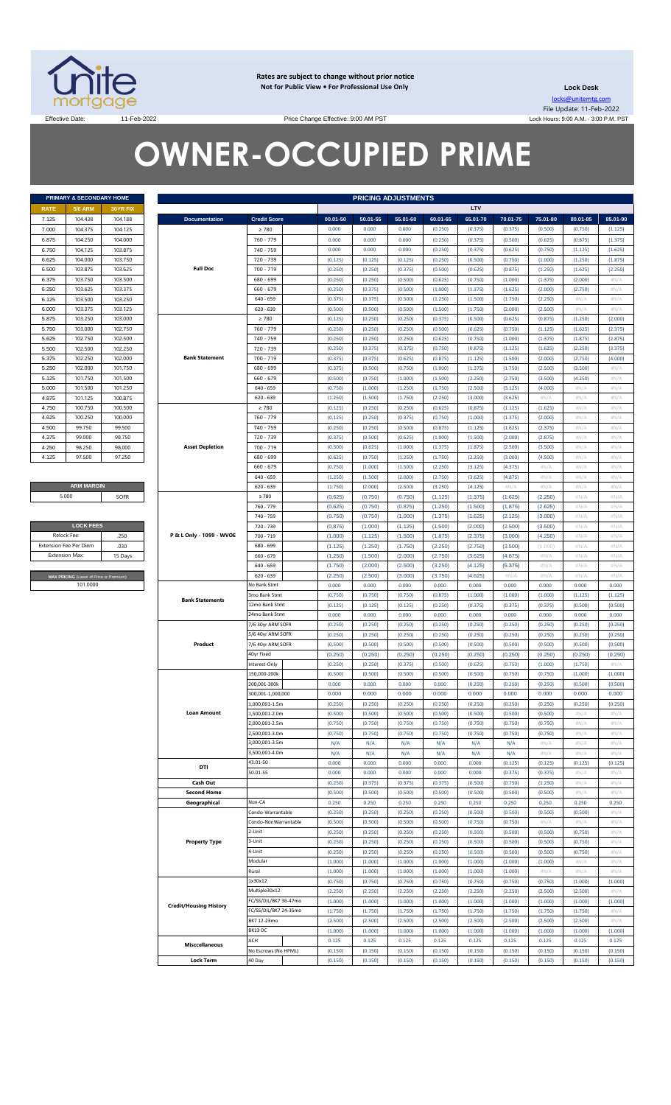

**Rates are subject to change without prior notice Not for Public View • For Professional Use Only** 

**Lock Desk** locks@unitemtg.com File Update: 11-Feb-2022 Lock Hours: 9:00 A.M. - 3:00 P.M. PST

Effective Date: 11-Feb-2022 Price Change Effective: 9:00 AM PST

# **OWNER-OCCUPIED PRIME**

| PRIMARY & SECONDARY HOME |                |                 |  |  |  |  |  |  |  |  |
|--------------------------|----------------|-----------------|--|--|--|--|--|--|--|--|
| <b>RATE</b>              | <b>5/6 ARM</b> | <b>30YR FIX</b> |  |  |  |  |  |  |  |  |
| 7.125                    | 104.438        | 104.188         |  |  |  |  |  |  |  |  |
| 7.000                    | 104.375        | 104.125         |  |  |  |  |  |  |  |  |
| 6.875                    | 104.250        | 104,000         |  |  |  |  |  |  |  |  |
| 6.750                    | 104.125        | 103.875         |  |  |  |  |  |  |  |  |
| 6.625                    | 104.000        | 103.750         |  |  |  |  |  |  |  |  |
| 6.500                    | 103.875        | 103.625         |  |  |  |  |  |  |  |  |
| 6.375                    | 103.750        | 103.500         |  |  |  |  |  |  |  |  |
| 6.250                    | 103.625        | 103.375         |  |  |  |  |  |  |  |  |
| 6.125                    | 103.500        | 103.250         |  |  |  |  |  |  |  |  |
| 6.000                    | 103.375        | 103.125         |  |  |  |  |  |  |  |  |
| 5.875                    | 103.250        | 103,000         |  |  |  |  |  |  |  |  |
| 5.750                    | 103.000        | 102.750         |  |  |  |  |  |  |  |  |
| 5.625                    | 102.750        | 102.500         |  |  |  |  |  |  |  |  |
| 5.500                    | 102.500        | 102.250         |  |  |  |  |  |  |  |  |
| 5.375                    | 102.250        | 102.000         |  |  |  |  |  |  |  |  |
| 5.250                    | 102.000        | 101.750         |  |  |  |  |  |  |  |  |
| 5.125                    | 101.750        | 101.500         |  |  |  |  |  |  |  |  |
| 5.000                    | 101.500        | 101.250         |  |  |  |  |  |  |  |  |
| 4.875                    | 101.125        | 100.875         |  |  |  |  |  |  |  |  |
| 4.750                    | 100.750        | 100.500         |  |  |  |  |  |  |  |  |
| 4.625                    | 100.250        | 100,000         |  |  |  |  |  |  |  |  |
| 4.500                    | 99.750         | 99.500          |  |  |  |  |  |  |  |  |
| 4.375                    | 99,000         | 98.750          |  |  |  |  |  |  |  |  |
| 4.250                    | 98.250         | 98.000          |  |  |  |  |  |  |  |  |
| 4.125                    | 97.500         | 97.250          |  |  |  |  |  |  |  |  |

**ARM MARGIN** 5.000

| <b>LOCK FEES</b>                        |         |
|-----------------------------------------|---------|
| Relock Fee:                             | 250     |
| <b>Extension Fee Per Diem</b>           | .030    |
| <b>Extension Max:</b>                   | 15 Days |
|                                         |         |
| MAX PRICING (Lower of Price or Premium) |         |
| 101,0000                                |         |

|       | PRIMARY & SECONDARY HOME                            |          |                               |                       |          |          | <b>PRICING ADJUSTMENTS</b> |          |          |          |          |               |          |
|-------|-----------------------------------------------------|----------|-------------------------------|-----------------------|----------|----------|----------------------------|----------|----------|----------|----------|---------------|----------|
| RATE  | <b>5/6 ARM</b>                                      | 30YR FIX |                               |                       |          |          |                            |          | LTV      |          |          |               |          |
| 7.125 | 104.438                                             | 104.188  | <b>Documentation</b>          | <b>Credit Score</b>   | 00.01-50 | 50.01-55 | 55.01-60                   | 60.01-65 | 65.01-70 | 70.01-75 | 75.01-80 | 80.01-85      | 85.01-90 |
| 7.000 | 104.375                                             | 104.125  |                               | $\geq 780$            | 0.000    | 0.000    | 0.000                      | (0.250)  | (0.375)  | (0.375)  | (0.500)  | (0.750)       | (1.125)  |
|       |                                                     | 104.000  |                               |                       |          |          |                            |          |          |          |          |               |          |
| 6.875 | 104.250                                             |          |                               | 760 - 779             | 0.000    | 0.000    | 0.000                      | (0.250)  | (0.375)  | (0.500)  | (0.625)  | (0.875)       | (1.375)  |
| 6.750 | 104.125                                             | 103.875  |                               | 740 - 759             | 0.000    | 0.000    | 0.000                      | (0.250)  | (0.375)  | (0.625)  | (0.750)  | (1.125)       | (1.625)  |
| 6.625 | 104.000                                             | 103.750  |                               | 720 - 739             | (0.125)  | (0.125)  | (0.125)                    | (0.250)  | (0.500)  | (0.750)  | (1.000)  | (1.250)       | (1.875)  |
| 6.500 | 103.875                                             | 103.625  | <b>Full Doc</b>               | 700 - 719             | (0.250)  | (0.250)  | (0.375)                    | (0.500)  | (0.625)  | (0.875)  | (1.250)  | (1.625)       | (2.250)  |
| 6.375 | 103.750                                             | 103.500  |                               | 680 - 699             | (0.250)  | (0.250)  | (0.500)                    | (0.625)  | (0.750)  | (1.000)  | (1.375)  | (2.000)       | #N/ $/$  |
| 6.250 | 103.625                                             | 103.375  |                               | $660 - 679$           | (0.250)  | (0.375)  | (0.500)                    | (1.000)  | (1.375)  | (1.625)  | (2.000)  | (2.750)       | #N/A     |
| 6.125 | 103.500                                             | 103.250  |                               | $640 - 659$           | (0.375)  | (0.375)  | (0.500)                    | (1.250)  | (1.500)  | (1.750)  | (2.250)  | $\#N/A$       | #N/A     |
| 6.000 | 103.375                                             | 103.125  |                               | $620 - 639$           | (0.500)  | (0.500)  | (0.500)                    | (1.500)  | (1.750)  | (2.000)  | (2.500)  | $\#N/A$       | #N/A     |
| 5.875 | 103.250                                             | 103.000  |                               |                       |          |          |                            |          |          |          |          |               |          |
|       |                                                     |          |                               | $\geq 780$            | (0.125)  | (0.250)  | (0.250)                    | (0.375)  | (0.500)  | (0.625)  | (0.875)  | (1.250)       | (2.000)  |
| 5.750 | 103.000                                             | 102.750  |                               | 760 - 779             | (0.250)  | (0.250)  | (0.250)                    | (0.500)  | (0.625)  | (0.750)  | (1.125)  | (1.625)       | (2.375)  |
| 5.625 | 102.750                                             | 102.500  |                               | 740 - 759             | (0.250)  | (0.250)  | (0.250)                    | (0.625)  | (0.750)  | (1.000)  | (1.375)  | (1.875)       | (2.875)  |
| 5.500 | 102.500                                             | 102.250  |                               | 720 - 739             | (0.250)  | (0.375)  | (0.375)                    | (0.750)  | (0.875)  | (1.125)  | (1.625)  | (2.250)       | (3.375)  |
| 5.375 | 102.250                                             | 102.000  | <b>Bank Statement</b>         | 700 - 719             | (0.375)  | (0.375)  | (0.625)                    | (0.875)  | (1.125)  | (1.500)  | (2.000)  | (2.750)       | (4.000)  |
| 5.250 | 102.000                                             | 101.750  |                               | 680 - 699             | (0.375)  | (0.500)  | (0.750)                    | (1.000)  | (1.375)  | (1.750)  | (2.500)  | (3.500)       | #N/ $/$  |
| 5.125 | 101.750                                             | 101.500  |                               | $660 - 679$           | (0.500)  | (0.750)  | (1.000)                    | (1.500)  | (2.250)  | (2.750)  | (3.500)  | (4.250)       | #N/A     |
| 5.000 | 101.500                                             | 101.250  |                               | $640 - 659$           | (0.750)  | (1.000)  | (1.250)                    | (1.750)  | (2.500)  | (3.125)  | (4.000)  | $\#N/\Lambda$ | #N/A     |
| 4.875 | 101.125                                             | 100.875  |                               | $620 - 639$           | (1.250)  | (1.500)  | (1.750)                    | (2.250)  | (3.000)  | (3.625)  | #N/A     | $\#N/A$       | #N/A     |
|       |                                                     |          |                               |                       |          |          |                            |          |          |          |          |               |          |
| 4.750 | 100.750                                             | 100.500  |                               | $\geq 780$            | (0.125)  | (0.250)  | (0.250)                    | (0.625)  | (0.875)  | (1.125)  | (1.625)  | #N/A          | #N/A     |
| 4.625 | 100.250                                             | 100.000  |                               | 760 - 779             | (0.125)  | (0.250)  | (0.375)                    | (0.750)  | (1.000)  | (1.375)  | (2.000)  | $\#N/A$       | #N/A     |
| 4.500 | 99.750                                              | 99.500   |                               | 740 - 759             | (0.250)  | (0.250)  | (0.500)                    | (0.875)  | (1.125)  | (1.625)  | (2.375)  | $\#N/A$       | #N/A     |
| 4.375 | 99.000                                              | 98.750   |                               | 720 - 739             | (0.375)  | (0.500)  | (0.625)                    | (1.000)  | (1.500)  | (2.000)  | (2.875)  | $\#N/A$       | #N/A     |
| 4.250 | 98.250                                              | 98.000   | <b>Asset Depletion</b>        | 700 - 719             | (0.500)  | (0.625)  | (1.000)                    | (1.375)  | (1.875)  | (2.500)  | (3.500)  | $\#N/A$       | #N/A     |
| 4.125 | 97.500                                              | 97.250   |                               | 680 - 699             | (0.625)  | (0.750)  | (1.250)                    | (1.750)  | (2.250)  | (3.000)  | (4.500)  | $\#N/A$       | #N/A     |
|       |                                                     |          |                               | $660 - 679$           | (0.750)  | (1.000)  | (1.500)                    | (2.250)  | (3.125)  | (4.375)  | #N/A     | $\#N/A$       | #N/A     |
|       |                                                     |          |                               | $640 - 659$           | (1.250)  | (1.500)  | (2.000)                    | (2.750)  | (3.625)  | (4.875)  | #N/A     | $\#N/A$       | #N/A     |
|       | <b>ARM MARGIN</b>                                   |          |                               | $620 - 639$           | (1.750)  | (2.000)  | (2.500)                    | (3.250)  | (4.125)  | #N/A     | #N/ $/$  | $\#N/A$       | #N/A     |
|       |                                                     |          |                               |                       |          |          |                            |          |          |          |          |               |          |
|       | 5.000                                               | SOFR     |                               | $\geq 780$            | (0.625)  | (0.750)  | (0.750)                    | (1.125)  | (1.375)  | (1.625)  | (2.250)  | #N/A          | #N/A     |
|       |                                                     |          |                               | 760 - 779             | (0.625)  | (0.750)  | (0.875)                    | (1.250)  | (1.500)  | (1.875)  | (2.625)  | #N/A          | #N/A     |
|       |                                                     |          |                               | 740 - 759             | (0.750)  | (0.750)  | (1.000)                    | (1.375)  | (1.625)  | (2.125)  | (3.000)  | #N/A          | #N/A     |
|       | <b>LOCK FEES</b>                                    |          |                               | 720 - 739             | (0.875)  | (1.000)  | (1.125)                    | (1.500)  | (2.000)  | (2.500)  | (3.500)  | #N/A          | #N/A     |
|       | Relock Fee:                                         | .250     | P & L Only - 1099 - WVOE      | 700 - 719             | (1.000)  | (1.125)  | (1.500)                    | (1.875)  | (2.375)  | (3.000)  | (4.250)  | #N/A          | #N/A     |
|       | xtension Fee Per Diem                               | .030     |                               | 680 - 699             | (1.125)  | (1.250)  | (1.750)                    | (2.250)  | (2.750)  | (3.500)  | (5.000)  | #N/A          | #N/A     |
|       | <b>Extension Max:</b>                               | 15 Days  |                               | 660 - 679             | (1.250)  | (1.500)  | (2.000)                    | (2.750)  | (3.625)  | (4.875)  | $\#N/A$  | #N/A          | #N/A     |
|       |                                                     |          |                               | $640 - 659$           | (1.750)  | (2.000)  | (2.500)                    | (3.250)  | (4.125)  | (5.375)  | $\#N/A$  | #N/A          | #N/A     |
|       |                                                     |          |                               | $620 - 639$           | (2.250)  | (2.500)  | (3.000)                    | (3.750)  | (4.625)  | #N/A     | $\#N/A$  | #N/A          | $\#N/A$  |
|       | MAX PRICING (Lower of Price or Premium)<br>101.0000 |          |                               |                       |          |          |                            |          |          |          |          |               |          |
|       |                                                     |          |                               | No Bank Stmt          | 0.000    | 0.000    | 0.000                      | 0.000    | 0.000    | 0.000    | 0.000    | 0.000         | 0.000    |
|       |                                                     |          | <b>Bank Statements</b>        | 3mo Bank Stmt         | (0.750)  | (0.750)  | (0.750)                    | (0.875)  | (1.000)  | (1.000)  | (1.000)  | (1.125)       | (1.125)  |
|       |                                                     |          |                               | 12mo Bank Stmt        | (0.125)  | (0.125)  | (0.125)                    | (0.250)  | (0.375)  | (0.375)  | (0.375)  | (0.500)       | (0.500)  |
|       |                                                     |          |                               | 24mo Bank Stmt        | 0.000    | 0.000    | 0.000                      | 0.000    | 0.000    | 0.000    | 0.000    | 0.000         | 0.000    |
|       |                                                     |          |                               | 7/6 30yr ARM SOFR     | (0.250)  | (0.250)  | (0.250)                    | (0.250)  | (0.250)  | (0.250)  | (0.250)  | (0.250)       | (0.250)  |
|       |                                                     |          |                               | 5/6 40yr ARM SOFR     | (0.250)  | (0.250)  | (0.250)                    | (0.250)  | (0.250)  | (0.250)  | (0.250)  | (0.250)       | (0.250)  |
|       |                                                     |          | Product                       | 7/6 40yr ARM SOFR     | (0.500)  | (0.500)  | (0.500)                    | (0.500)  | (0.500)  | (0.500)  | (0.500)  | (0.500)       | (0.500)  |
|       |                                                     |          |                               | 40yr Fixed            | (0.250)  | (0.250)  | (0.250)                    | (0.250)  | (0.250)  | (0.250)  | (0.250)  | (0.250)       | (0.250)  |
|       |                                                     |          |                               | Interest-Only         | (0.250)  | (0.250)  | (0.375)                    | (0.500)  | (0.625)  | (0.750)  | (1.000)  | (1.750)       | #N/A     |
|       |                                                     |          |                               | 150,000-200k          | (0.500)  | (0.500)  | (0.500)                    | (0.500)  | (0.500)  | (0.750)  | (0.750)  | (1.000)       | (1.000)  |
|       |                                                     |          |                               |                       |          |          |                            |          |          |          |          |               |          |
|       |                                                     |          |                               | 200,001-300k          | 0.000    | 0.000    | 0.000                      | 0.000    | (0.250)  | (0.250)  | (0.250)  | (0.500)       | (0.500)  |
|       |                                                     |          |                               | 300,001-1,000,000     | 0.000    | 0.000    | 0.000                      | 0.000    | 0.000    | 0.000    | 0.000    | 0.000         | 0.000    |
|       |                                                     |          |                               | 1,000,001-1.5m        | (0.250)  | (0.250)  | (0.250)                    | (0.250)  | (0.250)  | (0.250)  | (0.250)  | (0.250)       | (0.250)  |
|       |                                                     |          | <b>Loan Amount</b>            | 1,500,001-2.0m        | (0.500)  | (0.500)  | (0.500)                    | (0.500)  | (0.500)  | (0.500)  | (0.500)  | #N/A          | #N/A     |
|       |                                                     |          |                               | 2,000,001-2.5m        | (0.750)  | (0.750)  | (0.750)                    | (0.750)  | (0.750)  | (0.750)  | (0.750)  | $\#N/A$       | #N/A     |
|       |                                                     |          |                               | 2,500,001-3.0m        | (0.750)  | (0.750)  | (0.750)                    | (0.750)  | (0.750)  | (0.750)  | (0.750)  | $\#N/A$       | #N/A     |
|       |                                                     |          |                               | 3,000,001-3.5m        | N/A      | N/A      | N/A                        | N/A      | N/A      | N/A      | #N/A     | #N/A          | #N/A     |
|       |                                                     |          |                               | 3,500,001-4.0m        | N/A      | N/A      | N/A                        | N/A      | N/A      | N/A      | #N/A     | $\#N/A$       | #N/ $/$  |
|       |                                                     |          |                               | 43.01-50              | 0.000    | 0.000    | 0.000                      | 0.000    | 0.000    | (0.125)  | (0.125)  | (0.125)       | (0.125)  |
|       |                                                     |          | DTI                           | 50.01-55              | 0.000    | 0.000    | 0.000                      | 0.000    | 0.000    | (0.375)  | (0.375)  | #N/A          | #N/ $/$  |
|       |                                                     |          | Cash Out                      |                       | (0.250)  | (0.375)  | (0.375)                    | (0.375)  | (0.500)  | (0.750)  | (1.250)  | $\#N/A$       | #N/A     |
|       |                                                     |          |                               |                       |          |          |                            |          |          |          |          |               |          |
|       |                                                     |          | <b>Second Home</b>            |                       | (0.500)  | (0.500)  | (0.500)                    | (0.500)  | (0.500)  | (0.500)  | (0.500)  | $\#N/A$       | #N/A     |
|       |                                                     |          | Geographical                  | Non-CA                | 0.250    | 0.250    | 0.250                      | 0.250    | 0.250    | 0.250    | 0.250    | 0.250         | 0.250    |
|       |                                                     |          |                               | Condo-Warrantable     | (0.250)  | (0.250)  | (0.250)                    | (0.250)  | (0.500)  | (0.500)  | (0.500)  | (0.500)       | #N/A     |
|       |                                                     |          |                               | Condo-NonWarrantable  | (0.500)  | (0.500)  | (0.500)                    | (0.500)  | (0.750)  | (0.750)  | #N/A     | #N/A          | #N/A     |
|       |                                                     |          |                               | 2-Unit                | (0.250)  | (0.250)  | (0.250)                    | (0.250)  | (0.500)  | (0.500)  | (0.500)  | (0.750)       | #N/A     |
|       |                                                     |          | <b>Property Type</b>          | 3-Unit                | (0.250)  | (0.250)  | (0.250)                    | (0.250)  | (0.500)  | (0.500)  | (0.500)  | (0.750)       | #N/A     |
|       |                                                     |          |                               | 4-Unit                | (0.250)  | (0.250)  | (0.250)                    | (0.250)  | (0.500)  | (0.500)  | (0.500)  | (0.750)       | #N/A     |
|       |                                                     |          |                               | Modular               | (1.000)  | (1.000)  | (1.000)                    | (1.000)  | (1.000)  | (1.000)  | (1.000)  | #N/A          | #N/A     |
|       |                                                     |          |                               | Rural                 | (1.000)  | (1.000)  | (1.000)                    | (1.000)  | (1.000)  | (1.000)  | #N/A     | $\#N/A$       | #N/ $/$  |
|       |                                                     |          |                               | 1x30x12               | (0.750)  | (0.750)  | (0.750)                    | (0.750)  | (0.750)  | (0.750)  | (0.750)  | (1.000)       | (1.000)  |
|       |                                                     |          |                               | Multiple30x12         | (2.250)  | (2.250)  | (2.250)                    | (2.250)  | (2.250)  | (2.250)  | (2.500)  | (2.500)       | #N//     |
|       |                                                     |          |                               | FC/SS/DIL/BK7 36-47mo |          |          |                            |          |          |          |          |               |          |
|       |                                                     |          | <b>Credit/Housing History</b> |                       | (1.000)  | (1.000)  | (1.000)                    | (1.000)  | (1.000)  | (1.000)  | (1.000)  | (1.000)       | (1.000)  |
|       |                                                     |          |                               | FC/SS/DIL/BK7 24-35mo | (1.750)  | (1.750)  | (1.750)                    | (1.750)  | (1.750)  | (1.750)  | (1.750)  | (1.750)       | #N/A     |
|       |                                                     |          |                               | BK7 12-23mo           | (2.500)  | (2.500)  | (2.500)                    | (2.500)  | (2.500)  | (2.500)  | (2.500)  | (2.500)       | #N/A     |
|       |                                                     |          |                               | BK13 DC               | (1.000)  | (1.000)  | (1.000)                    | (1.000)  | (1.000)  | (1.000)  | (1.000)  | (1.000)       | (1.000)  |
|       |                                                     |          | <b>Misccellaneous</b>         | ACH                   | 0.125    | 0.125    | 0.125                      | 0.125    | 0.125    | 0.125    | 0.125    | 0.125         | 0.125    |
|       |                                                     |          |                               | No Escrows (No HPML)  | (0.150)  | (0.150)  | (0.150)                    | (0.150)  | (0.150)  | (0.150)  | (0.150)  | (0.150)       | (0.150)  |
|       |                                                     |          | <b>Lock Term</b>              | 40 Day                | (0.150)  | (0.150)  | (0.150)                    | (0.150)  | (0.150)  | (0.150)  | (0.150)  | (0.150)       | (0.150)  |
|       |                                                     |          |                               |                       |          |          |                            |          |          |          |          |               |          |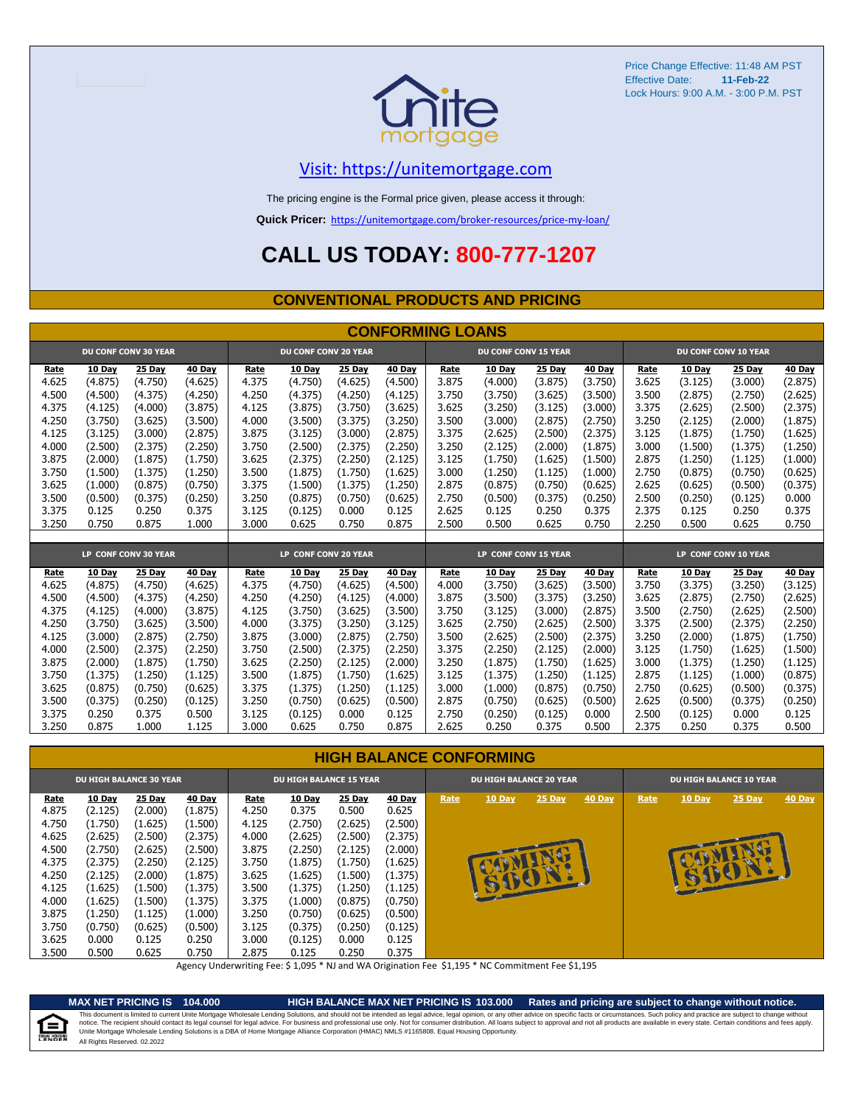

#### [V](https://unitemortgage.com/)isit: https://unitemortgage.com

The pricing engine is the Formal price given, please access it through:

**Quick Pricer:** [https://un](https://unitemortgage.com/broker-resources/price-my-loan/)itemortgage.com/broker-resources/price-my-loan/

### **CALL US TODAY: 800-777-1207**

#### **CONVENTIONAL PRODUCTS AND PRICING**

|       |         |                             |         |       |                             |         | <b>CONFORMING LOANS</b> |       |                             |         |         |                             |         |                      |         |  |
|-------|---------|-----------------------------|---------|-------|-----------------------------|---------|-------------------------|-------|-----------------------------|---------|---------|-----------------------------|---------|----------------------|---------|--|
|       |         | <b>DU CONF CONV 30 YEAR</b> |         |       | <b>DU CONF CONV 20 YEAR</b> |         |                         |       | <b>DU CONF CONV 15 YEAR</b> |         |         | <b>DU CONF CONV 10 YEAR</b> |         |                      |         |  |
| Rate  | 10 Day  | 25 Day                      | 40 Day  | Rate  | 10 Day                      | 25 Day  | 40 Day                  | Rate  | 10 Day                      | 25 Day  | 40 Day  | Rate                        | 10 Day  | <b>25 Day</b>        | 40 Day  |  |
| 4.625 | (4.875) | (4.750)                     | (4.625) | 4.375 | (4.750)                     | (4.625) | (4.500)                 | 3.875 | (4.000)                     | (3.875) | (3.750) | 3.625                       | (3.125) | (3.000)              | (2.875) |  |
| 4.500 | (4.500) | (4.375)                     | (4.250) | 4.250 | (4.375)                     | (4.250) | (4.125)                 | 3.750 | (3.750)                     | (3.625) | (3.500) | 3.500                       | (2.875) | (2.750)              | (2.625) |  |
| 4.375 | (4.125) | (4.000)                     | (3.875) | 4.125 | (3.875)                     | (3.750) | (3.625)                 | 3.625 | (3.250)                     | (3.125) | (3.000) | 3.375                       | (2.625) | (2.500)              | (2.375) |  |
| 4.250 | (3.750) | (3.625)                     | (3.500) | 4.000 | (3.500)                     | (3.375) | (3.250)                 | 3.500 | (3.000)                     | (2.875) | (2.750) | 3.250                       | (2.125) | (2.000)              | (1.875) |  |
| 4.125 | (3.125) | (3.000)                     | (2.875) | 3.875 | (3.125)                     | (3.000) | (2.875)                 | 3.375 | (2.625)                     | (2.500) | (2.375) | 3.125                       | (1.875) | (1.750)              | (1.625) |  |
| 4.000 | (2.500) | (2.375)                     | (2.250) | 3.750 | (2.500)                     | (2.375) | (2.250)                 | 3.250 | (2.125)                     | (2.000) | (1.875) | 3.000                       | (1.500) | (1.375)              | (1.250) |  |
| 3.875 | (2.000) | (1.875)                     | (1.750) | 3.625 | (2.375)                     | (2.250) | (2.125)                 | 3.125 | (1.750)                     | (1.625) | (1.500) | 2.875                       | (1.250) | (1.125)              | (1.000) |  |
| 3.750 | (1.500) | (1.375)                     | (1.250) | 3.500 | (1.875)                     | (1.750) | (1.625)                 | 3.000 | (1.250)                     | (1.125) | (1.000) | 2.750                       | (0.875) | (0.750)              | (0.625) |  |
| 3.625 | (1.000) | (0.875)                     | (0.750) | 3.375 | (1.500)                     | (1.375) | (1.250)                 | 2.875 | (0.875)                     | (0.750) | (0.625) | 2.625                       | (0.625) | (0.500)              | (0.375) |  |
| 3.500 | (0.500) | (0.375)                     | (0.250) | 3.250 | (0.875)                     | (0.750) | (0.625)                 | 2.750 | (0.500)                     | (0.375) | (0.250) | 2.500                       | (0.250) | (0.125)              | 0.000   |  |
| 3.375 | 0.125   | 0.250                       | 0.375   | 3.125 | (0.125)                     | 0.000   | 0.125                   | 2.625 | 0.125                       | 0.250   | 0.375   | 2.375                       | 0.125   | 0.250                | 0.375   |  |
| 3.250 | 0.750   | 0.875                       | 1.000   | 3.000 | 0.625                       | 0.750   | 0.875                   | 2.500 | 0.500                       | 0.625   | 0.750   | 2.250                       | 0.500   | 0.625                | 0.750   |  |
|       |         |                             |         |       |                             |         |                         |       |                             |         |         |                             |         |                      |         |  |
|       |         | LP CONF CONV 30 YEAR        |         |       | LP CONF CONV 20 YEAR        |         |                         |       | LP CONF CONV 15 YEAR        |         |         |                             |         | LP CONF CONV 10 YEAR |         |  |
| Rate  | 10 Dav  | 25 Day                      | 40 Day  | Rate  | 10 Day                      | 25 Day  | 40 Day                  | Rate  | 10 Day                      | 25 Day  | 40 Day  | Rate                        | 10 Day  | 25 Day               | 40 Day  |  |
| 4.625 | (4.875) | (4.750)                     | (4.625) | 4.375 | (4.750)                     | (4.625) | (4.500)                 | 4.000 | (3.750)                     | (3.625) | (3.500) | 3.750                       | (3.375) | (3.250)              | (3.125) |  |
| 4.500 | (4.500) | (4.375)                     | (4.250) | 4.250 | (4.250)                     | (4.125) | (4.000)                 | 3.875 | (3.500)                     | (3.375) | (3.250) | 3.625                       | (2.875) | (2.750)              | (2.625) |  |
| 4.375 | (4.125) | (4.000)                     | (3.875) | 4.125 | (3.750)                     | (3.625) | (3.500)                 | 3.750 | (3.125)                     | (3.000) | (2.875) | 3.500                       | (2.750) | (2.625)              | (2.500) |  |
| 4.250 | (3.750) | (3.625)                     | (3.500) | 4.000 | (3.375)                     | (3.250) | (3.125)                 | 3.625 | (2.750)                     | (2.625) | (2.500) | 3.375                       | (2.500) | (2.375)              | (2.250) |  |
| 4.125 | (3.000) | (2.875)                     | (2.750) | 3.875 | (3.000)                     | (2.875) | (2.750)                 | 3.500 | (2.625)                     | (2.500) | (2.375) | 3.250                       | (2.000) | (1.875)              | (1.750) |  |
| 4.000 | (2.500) | (2.375)                     | (2.250) | 3.750 | (2.500)                     | (2.375) | (2.250)                 | 3.375 | (2.250)                     | (2.125) | (2.000) | 3.125                       | (1.750) | (1.625)              | (1.500) |  |
| 3.875 | (2.000) | (1.875)                     | (1.750) | 3.625 | (2.250)                     | (2.125) | (2.000)                 | 3.250 | (1.875)                     | (1.750) | (1.625) | 3.000                       | (1.375) | (1.250)              | (1.125) |  |
| 3.750 | (1.375) | (1.250)                     | (1.125) | 3.500 | (1.875)                     | (1.750) | (1.625)                 | 3.125 | (1.375)                     | (1.250) | (1.125) | 2.875                       | (1.125) | (1.000)              | (0.875) |  |
| 3.625 | (0.875) | (0.750)                     | (0.625) | 3.375 | (1.375)                     | (1.250) | (1.125)                 | 3.000 | (1.000)                     | (0.875) | (0.750) | 2.750                       | (0.625) | (0.500)              | (0.375) |  |
| 3.500 | (0.375) | (0.250)                     | (0.125) | 3.250 | (0.750)                     | (0.625) | (0.500)                 | 2.875 | (0.750)                     | (0.625) | (0.500) | 2.625                       | (0.500) | (0.375)              | (0.250) |  |
| 3.375 | 0.250   | 0.375                       | 0.500   | 3.125 | (0.125)                     | 0.000   | 0.125                   | 2.750 | (0.250)                     | (0.125) | 0.000   | 2.500                       | (0.125) | 0.000                | 0.125   |  |
| 3.250 | 0.875   | 1.000                       | 1.125   | 3.000 | 0.625                       | 0.750   | 0.875                   | 2.625 | 0.250                       | 0.375   | 0.500   | 2.375                       | 0.250   | 0.375                | 0.500   |  |

#### **HIGH BALANCE CONFORMING**

|             | <b>DU HIGH BALANCE 30 YEAR</b> |         |         | <b>DU HIGH BALANCE 15 YEAR</b> |               |         |               | <b>DU HIGH BALANCE 20 YEAR</b> |               |                |        | <b>DU HIGH BALANCE 10 YEAR</b> |               |               |               |  |  |
|-------------|--------------------------------|---------|---------|--------------------------------|---------------|---------|---------------|--------------------------------|---------------|----------------|--------|--------------------------------|---------------|---------------|---------------|--|--|
| <u>Rate</u> | <b>10 Day</b>                  | 25 Day  | 40 Day  | Rate                           | <b>10 Day</b> | 25 Day  | <b>40 Day</b> | Rate                           | <b>10 Day</b> | <b>25 Day</b>  | 40 Day | Rate                           | <b>10 Day</b> | <b>25 Day</b> | <b>40 Day</b> |  |  |
| 4.875       | (2.125)                        | (2.000) | (1.875) | 4.250                          | 0.375         | 0.500   | 0.625         |                                |               |                |        |                                |               |               |               |  |  |
| 4.750       | (1.750)                        | (1.625) | (1.500) | 4.125                          | (2.750)       | (2.625) | (2.500)       |                                |               |                |        |                                |               |               |               |  |  |
| 4.625       | (2.625)                        | (2.500) | (2.375) | 4.000                          | (2.625)       | (2.500) | (2.375)       |                                |               |                |        |                                |               |               |               |  |  |
| 4.500       | (2.750)                        | (2.625) | (2.500) | 3.875                          | (2.250)       | (2.125) | (2.000)       |                                |               |                |        |                                |               |               |               |  |  |
| 4.375       | (2.375)                        | (2.250) | (2.125) | 3.750                          | (1.875)       | (1.750) | (1.625)       |                                |               |                |        |                                |               |               |               |  |  |
| 4.250       | (2.125)                        | (2.000) | (1.875) | 3.625                          | (1.625)       | (1.500) | (1.375)       |                                |               | <b>SIDE AT</b> |        |                                | D             |               |               |  |  |
| 4.125       | (1.625)                        | (1.500) | (1.375) | 3.500                          | (1.375)       | (1.250) | (1.125)       |                                |               |                |        |                                |               |               |               |  |  |
| 4.000       | (1.625)                        | (1.500) | (1.375) | 3.375                          | (1.000)       | (0.875) | (0.750)       |                                |               |                |        |                                |               |               |               |  |  |
| 3.875       | (1.250)                        | (1.125) | (1.000) | 3.250                          | (0.750)       | (0.625) | (0.500)       |                                |               |                |        |                                |               |               |               |  |  |
| 3.750       | (0.750)                        | (0.625) | (0.500) | 3.125                          | (0.375)       | (0.250) | (0.125)       |                                |               |                |        |                                |               |               |               |  |  |
| 3.625       | 0.000                          | 0.125   | 0.250   | 3.000                          | (0.125)       | 0.000   | 0.125         |                                |               |                |        |                                |               |               |               |  |  |
| 3.500       | 0.500                          | 0.625   | 0.750   | 2.875                          | 0.125         | 0.250   | 0.375         |                                |               |                |        |                                |               |               |               |  |  |

Agency Underwriting Fee: \$ 1,095 \* NJ and WA Origination Fee \$1,195 \* NC Commitment Fee \$1,195

 $\bm{\bm{\mathsf{\Xi}}}$ QUAL HOUSIN **MAX NET PRICING IS 104.000 HIGH BALANCE MAX NET PRICING IS 103.000 Rates and pricing are subject to change without notice.**

All Rights Reserved. 02.2022 This document is limited to current Unite Mortgage Wholesale Lending Solutions, and should not be intended as legal advice, legal opinion, or any other advice on specific facts or circumstances. Such policy and practice ar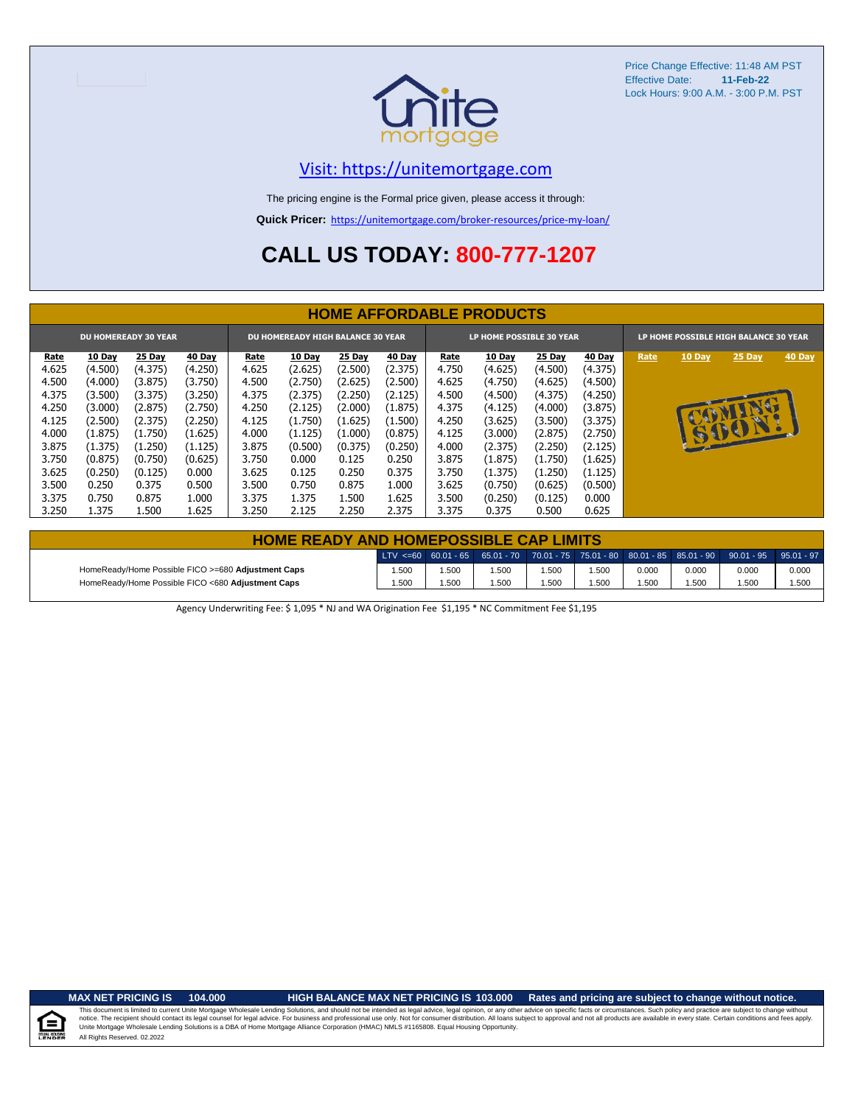

#### [V](https://unitemortgage.com/)isit: https://unitemortgage.com

The pricing engine is the Formal price given, please access it through:

**Quick Pricer:** [https://un](https://unitemortgage.com/broker-resources/price-my-loan/)itemortgage.com/broker-resources/price-my-loan/

# **CALL US TODAY: 800-777-1207**

|             | <b>HOME AFFORDABLE PRODUCTS</b> |                             |               |       |                                          |         |               |                                 |               |               |               |                                       |        |             |        |
|-------------|---------------------------------|-----------------------------|---------------|-------|------------------------------------------|---------|---------------|---------------------------------|---------------|---------------|---------------|---------------------------------------|--------|-------------|--------|
|             |                                 | <b>DU HOMEREADY 30 YEAR</b> |               |       | <b>DU HOMEREADY HIGH BALANCE 30 YEAR</b> |         |               | <b>LP HOME POSSIBLE 30 YEAR</b> |               |               |               | LP HOME POSSIBLE HIGH BALANCE 30 YEAR |        |             |        |
| <b>Rate</b> | <b>10 Day</b>                   | <b>25 Day</b>               | <b>40 Day</b> | Rate  | <b>10 Day</b>                            | 25 Day  | <b>40 Day</b> | Rate                            | <b>10 Day</b> | <b>25 Day</b> | <b>40 Day</b> | Rate                                  | 10 Day | 25 Day      | 40 Day |
| 4.625       | (4.500)                         | (4.375)                     | (4.250)       | 4.625 | (2.625)                                  | (2.500) | (2.375)       | 4.750                           | (4.625)       | (4.500)       | (4.375)       |                                       |        |             |        |
| 4.500       | (4.000)                         | (3.875)                     | (3.750)       | 4.500 | (2.750)                                  | (2.625) | (2.500)       | 4.625                           | (4.750)       | (4.625)       | (4.500)       |                                       |        |             |        |
| 4.375       | (3.500)                         | (3.375)                     | (3.250)       | 4.375 | (2.375)                                  | (2.250) | (2.125)       | 4.500                           | (4.500)       | (4.375)       | (4.250)       |                                       |        |             |        |
| 4.250       | (3.000)                         | (2.875)                     | (2.750)       | 4.250 | (2.125)                                  | (2.000) | (1.875)       | 4.375                           | (4.125)       | (4.000)       | (3.875)       |                                       |        | <b>TANK</b> |        |
| 4.125       | (2.500)                         | (2.375)                     | (2.250)       | 4.125 | (1.750)                                  | (1.625) | (1.500)       | 4.250                           | (3.625)       | (3.500)       | (3.375)       |                                       |        |             |        |
| 4.000       | (1.875)                         | (1.750)                     | (1.625)       | 4.000 | (1.125)                                  | (1.000) | (0.875)       | 4.125                           | (3.000)       | (2.875)       | (2.750)       |                                       |        | SIEDN       |        |
| 3.875       | (1.375)                         | (1.250)                     | (1.125)       | 3.875 | (0.500)                                  | (0.375) | (0.250)       | 4.000                           | (2.375)       | (2.250)       | (2.125)       |                                       |        |             |        |
| 3.750       | (0.875)                         | (0.750)                     | (0.625)       | 3.750 | 0.000                                    | 0.125   | 0.250         | 3.875                           | (1.875)       | (1.750)       | (1.625)       |                                       |        |             |        |
| 3.625       | (0.250)                         | (0.125)                     | 0.000         | 3.625 | 0.125                                    | 0.250   | 0.375         | 3.750                           | (1.375)       | (1.250)       | (1.125)       |                                       |        |             |        |
| 3.500       | 0.250                           | 0.375                       | 0.500         | 3.500 | 0.750                                    | 0.875   | 1.000         | 3.625                           | (0.750)       | (0.625)       | (0.500)       |                                       |        |             |        |
| 3.375       | 0.750                           | 0.875                       | 1.000         | 3.375 | 1.375                                    | 1.500   | 1.625         | 3.500                           | (0.250)       | (0.125)       | 0.000         |                                       |        |             |        |
| 3.250       | 1.375                           | 1.500                       | 1.625         | 3.250 | 2.125                                    | 2.250   | 2.375         | 3.375                           | 0.375         | 0.500         | 0.625         |                                       |        |             |        |

| <b>HOME READY AND HOMEPOSSIBLE CAP LIMITS</b>      |       |      |      |       |       |       |       |                                                                                                            |       |  |  |  |
|----------------------------------------------------|-------|------|------|-------|-------|-------|-------|------------------------------------------------------------------------------------------------------------|-------|--|--|--|
|                                                    |       |      |      |       |       |       |       | $1.17 \times 1.60$ 60.01 - 65 65.01 - 70 70.01 - 75 75.01 - 80 80.01 - 85 85.01 - 90 90.01 - 95 95.01 - 97 |       |  |  |  |
| HomeReady/Home Possible FICO >=680 Adjustment Caps | 1.500 | .500 | .500 | 1.500 | 500،، | 0.000 | 0.000 | 0.000                                                                                                      | 0.000 |  |  |  |
| HomeReady/Home Possible FICO <680 Adjustment Caps  | 1.500 | .500 | .500 | .500  | .500  | .500  | 1.500 | .500                                                                                                       | 1.500 |  |  |  |

Agency Underwriting Fee: \$ 1,095 \* NJ and WA Origination Fee \$1,195 \* NC Commitment Fee \$1,195

#### **MAX NET PRICING IS 104.000 HIGH BALANCE MAX NET PRICING IS 103.000 Rates and pricing are subject to change without notice.**

All Rights Reserved. 02.2022 This document is limited to current Unite Mortgage Wholesale Lending Solutions, and should not be intended as legal advice, legal opinion, or any other advice on specific facts or circumstances. Such policy and practice ar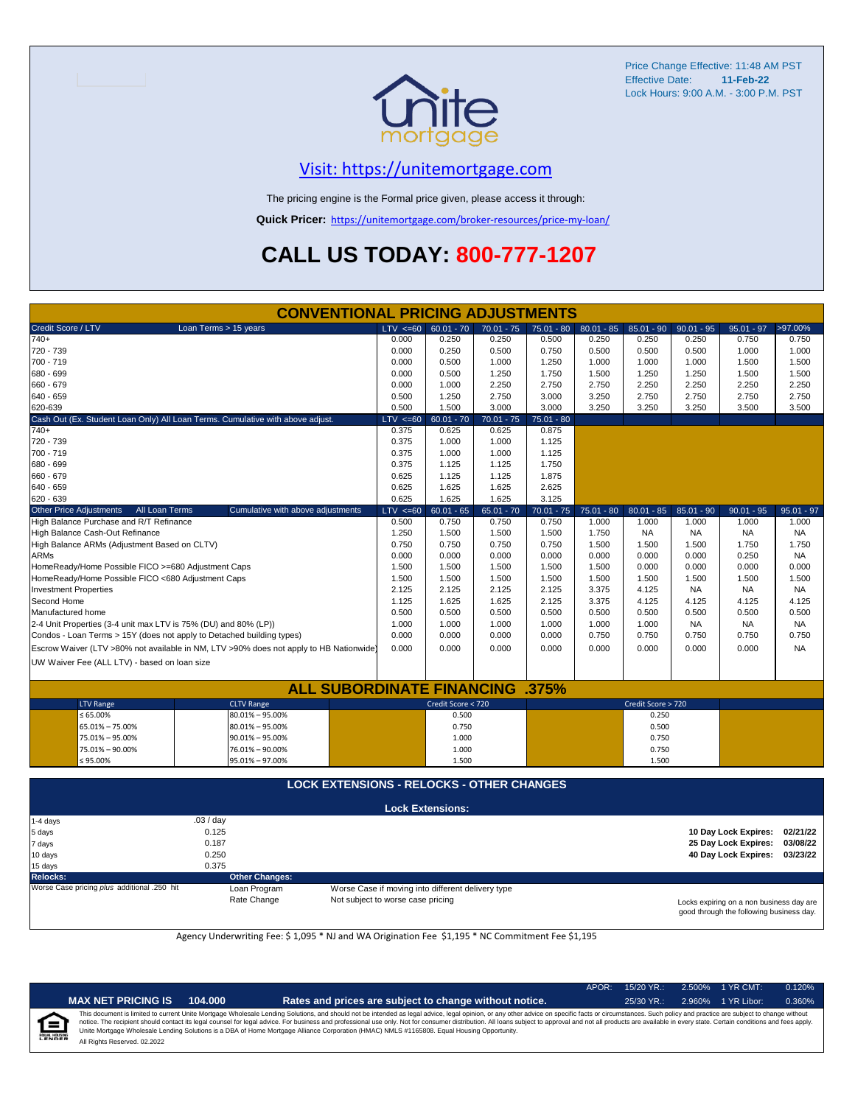

### [V](https://unitemortgage.com/)isit: https://unitemortgage.com

The pricing engine is the Formal price given, please access it through:

**Quick Pricer:** [https://un](https://unitemortgage.com/broker-resources/price-my-loan/)itemortgage.com/broker-resources/price-my-loan/

# **CALL US TODAY: 800-777-1207**

| Loan Terms > 15 years<br>$LTV < =60$<br>$60.01 - 70$<br>$80.01 - 85$<br>$85.01 - 90$<br>$95.01 - 97$<br>>97.00%<br>$70.01 - 75$<br>$75.01 - 80$<br>$90.01 - 95$<br>740+<br>0.000<br>0.250<br>0.250<br>0.250<br>0.250<br>0.750<br>0.500<br>0.250<br>0.750<br>0.000<br>0.250<br>0.500<br>0.750<br>0.500<br>0.500<br>0.500<br>1.000<br>720 - 739<br>1.000<br>700 - 719<br>0.000<br>0.500<br>1.000<br>1.250<br>1.000<br>1.000<br>1.000<br>1.500<br>1.500<br>680 - 699<br>0.000<br>0.500<br>1.250<br>1.750<br>1.500<br>1.250<br>1.250<br>1.500<br>1.500<br>2.250<br>660 - 679<br>0.000<br>1.000<br>2.250<br>2.750<br>2.750<br>2.250<br>2.250<br>2.250<br>640 - 659<br>3.000<br>0.500<br>1.250<br>2.750<br>3.250<br>2.750<br>2.750<br>2.750<br>2.750<br>0.500<br>1.500<br>3.000<br>3.000<br>3.250<br>3.250<br>3.250<br>3.500<br>3.500<br>Cash Out (Ex. Student Loan Only) All Loan Terms. Cumulative with above adjust.<br>$LTV \le 60$<br>$60.01 - 70$<br>$70.01 - 75$<br>$75.01 - 80$<br>$740+$<br>0.375<br>0.625<br>0.625<br>0.875<br>720 - 739<br>0.375<br>1.000<br>1.000<br>1.125<br>700 - 719<br>0.375<br>1.000<br>1.000<br>1.125<br>680 - 699<br>0.375<br>1.750<br>1.125<br>1.125<br>660 - 679<br>0.625<br>1.875<br>1.125<br>1.125<br>640 - 659<br>0.625<br>1.625<br>1.625<br>2.625<br>620 - 639<br>0.625<br>1.625<br>1.625<br>3.125<br><b>Other Price Adjustments</b><br>All Loan Terms<br>Cumulative with above adjustments<br>$LTV \le 60$<br>$60.01 - 65$<br>$65.01 - 70$<br>$70.01 - 75$<br>$75.01 - 80$<br>$80.01 - 85$<br>$85.01 - 90$<br>$90.01 - 95$<br>$95.01 - 97$<br>High Balance Purchase and R/T Refinance<br>0.500<br>0.750<br>0.750<br>0.750<br>1.000<br>1.000<br>1.000<br>1.000<br>1.000<br>High Balance Cash-Out Refinance<br>1.250<br>1.500<br>1.500<br>1.500<br>1.750<br><b>NA</b><br><b>NA</b><br><b>NA</b><br><b>NA</b><br>High Balance ARMs (Adjustment Based on CLTV)<br>0.750<br>0.750<br>0.750<br>0.750<br>1.500<br>1.500<br>1.500<br>1.750<br>1.750<br><b>ARMs</b><br>0.000<br>0.000<br>0.000<br>0.000<br>0.000<br>0.250<br>0.000<br>0.000<br><b>NA</b><br>0.000<br>HomeReady/Home Possible FICO >=680 Adjustment Caps<br>1.500<br>1.500<br>1.500<br>1.500<br>0.000<br>0.000<br>0.000<br>1.500<br>HomeReady/Home Possible FICO <680 Adjustment Caps<br>1.500<br>1.500<br>1.500<br>1.500<br>1.500<br>1.500<br>1.500<br>1.500<br>1.500<br><b>Investment Properties</b><br>2.125<br>2.125<br>3.375<br>2.125<br>2.125<br>4.125<br>NA.<br>NA<br><b>NA</b><br>Second Home<br>1.125<br>1.625<br>1.625<br>2.125<br>3.375<br>4.125<br>4.125<br>4.125<br>4.125<br>0.500<br>0.500<br>0.500<br>Manufactured home<br>0.500<br>0.500<br>0.500<br>0.500<br>0.500<br>0.500<br>2-4 Unit Properties (3-4 unit max LTV is 75% (DU) and 80% (LP))<br>1.000<br>1.000<br>1.000<br>1.000<br><b>NA</b><br><b>NA</b><br><b>NA</b><br>1.000<br>1.000<br>Condos - Loan Terms > 15Y (does not apply to Detached building types)<br>0.000<br>0.000<br>0.000<br>0.000<br>0.750<br>0.750<br>0.750<br>0.750<br>0.750<br>Escrow Waiver (LTV >80% not available in NM, LTV >90% does not apply to HB Nationwide)<br>0.000<br>0.000<br>0.000<br>0.000<br>0.000<br>0.000<br>0.000<br>0.000<br><b>NA</b><br>UW Waiver Fee (ALL LTV) - based on loan size<br><b>ALL SUBORDINATE FINANCING .375%</b><br><b>CLTV Range</b><br>Credit Score < 720<br>Credit Score > 720<br><b>LTV Range</b><br>$\leq 65.00\%$<br>$80.01\% - 95.00\%$<br>0.500<br>0.250<br>65.01% - 75.00%<br>$80.01\% - 95.00\%$<br>0.750<br>0.500<br>75.01% - 95.00%<br>$90.01\% - 95.00\%$<br>1.000<br>0.750<br>75.01% - 90.00%<br>76.01% - 90.00%<br>1.000<br>0.750 | <b>CONVENTIONAL PRICING ADJUSTMENTS</b> |                 |  |       |  |  |  |       |  |  |  |
|---------------------------------------------------------------------------------------------------------------------------------------------------------------------------------------------------------------------------------------------------------------------------------------------------------------------------------------------------------------------------------------------------------------------------------------------------------------------------------------------------------------------------------------------------------------------------------------------------------------------------------------------------------------------------------------------------------------------------------------------------------------------------------------------------------------------------------------------------------------------------------------------------------------------------------------------------------------------------------------------------------------------------------------------------------------------------------------------------------------------------------------------------------------------------------------------------------------------------------------------------------------------------------------------------------------------------------------------------------------------------------------------------------------------------------------------------------------------------------------------------------------------------------------------------------------------------------------------------------------------------------------------------------------------------------------------------------------------------------------------------------------------------------------------------------------------------------------------------------------------------------------------------------------------------------------------------------------------------------------------------------------------------------------------------------------------------------------------------------------------------------------------------------------------------------------------------------------------------------------------------------------------------------------------------------------------------------------------------------------------------------------------------------------------------------------------------------------------------------------------------------------------------------------------------------------------------------------------------------------------------------------------------------------------------------------------------------------------------------------------------------------------------------------------------------------------------------------------------------------------------------------------------------------------------------------------------------------------------------------------------------------------------------------------------------------------------------------------------------------------------------------------------------------------------------------------------------------------------------------------------------------------------------------------------------------------------------------------------------------------------------------------------------------------------------------------------------------------------------------------------------------------------------------------------------------------------------------------------------------------------|-----------------------------------------|-----------------|--|-------|--|--|--|-------|--|--|--|
|                                                                                                                                                                                                                                                                                                                                                                                                                                                                                                                                                                                                                                                                                                                                                                                                                                                                                                                                                                                                                                                                                                                                                                                                                                                                                                                                                                                                                                                                                                                                                                                                                                                                                                                                                                                                                                                                                                                                                                                                                                                                                                                                                                                                                                                                                                                                                                                                                                                                                                                                                                                                                                                                                                                                                                                                                                                                                                                                                                                                                                                                                                                                                                                                                                                                                                                                                                                                                                                                                                                                                                                                                           | Credit Score / LTV                      |                 |  |       |  |  |  |       |  |  |  |
|                                                                                                                                                                                                                                                                                                                                                                                                                                                                                                                                                                                                                                                                                                                                                                                                                                                                                                                                                                                                                                                                                                                                                                                                                                                                                                                                                                                                                                                                                                                                                                                                                                                                                                                                                                                                                                                                                                                                                                                                                                                                                                                                                                                                                                                                                                                                                                                                                                                                                                                                                                                                                                                                                                                                                                                                                                                                                                                                                                                                                                                                                                                                                                                                                                                                                                                                                                                                                                                                                                                                                                                                                           |                                         |                 |  |       |  |  |  |       |  |  |  |
|                                                                                                                                                                                                                                                                                                                                                                                                                                                                                                                                                                                                                                                                                                                                                                                                                                                                                                                                                                                                                                                                                                                                                                                                                                                                                                                                                                                                                                                                                                                                                                                                                                                                                                                                                                                                                                                                                                                                                                                                                                                                                                                                                                                                                                                                                                                                                                                                                                                                                                                                                                                                                                                                                                                                                                                                                                                                                                                                                                                                                                                                                                                                                                                                                                                                                                                                                                                                                                                                                                                                                                                                                           |                                         |                 |  |       |  |  |  |       |  |  |  |
|                                                                                                                                                                                                                                                                                                                                                                                                                                                                                                                                                                                                                                                                                                                                                                                                                                                                                                                                                                                                                                                                                                                                                                                                                                                                                                                                                                                                                                                                                                                                                                                                                                                                                                                                                                                                                                                                                                                                                                                                                                                                                                                                                                                                                                                                                                                                                                                                                                                                                                                                                                                                                                                                                                                                                                                                                                                                                                                                                                                                                                                                                                                                                                                                                                                                                                                                                                                                                                                                                                                                                                                                                           |                                         |                 |  |       |  |  |  |       |  |  |  |
|                                                                                                                                                                                                                                                                                                                                                                                                                                                                                                                                                                                                                                                                                                                                                                                                                                                                                                                                                                                                                                                                                                                                                                                                                                                                                                                                                                                                                                                                                                                                                                                                                                                                                                                                                                                                                                                                                                                                                                                                                                                                                                                                                                                                                                                                                                                                                                                                                                                                                                                                                                                                                                                                                                                                                                                                                                                                                                                                                                                                                                                                                                                                                                                                                                                                                                                                                                                                                                                                                                                                                                                                                           |                                         |                 |  |       |  |  |  |       |  |  |  |
|                                                                                                                                                                                                                                                                                                                                                                                                                                                                                                                                                                                                                                                                                                                                                                                                                                                                                                                                                                                                                                                                                                                                                                                                                                                                                                                                                                                                                                                                                                                                                                                                                                                                                                                                                                                                                                                                                                                                                                                                                                                                                                                                                                                                                                                                                                                                                                                                                                                                                                                                                                                                                                                                                                                                                                                                                                                                                                                                                                                                                                                                                                                                                                                                                                                                                                                                                                                                                                                                                                                                                                                                                           |                                         |                 |  |       |  |  |  |       |  |  |  |
|                                                                                                                                                                                                                                                                                                                                                                                                                                                                                                                                                                                                                                                                                                                                                                                                                                                                                                                                                                                                                                                                                                                                                                                                                                                                                                                                                                                                                                                                                                                                                                                                                                                                                                                                                                                                                                                                                                                                                                                                                                                                                                                                                                                                                                                                                                                                                                                                                                                                                                                                                                                                                                                                                                                                                                                                                                                                                                                                                                                                                                                                                                                                                                                                                                                                                                                                                                                                                                                                                                                                                                                                                           |                                         |                 |  |       |  |  |  |       |  |  |  |
|                                                                                                                                                                                                                                                                                                                                                                                                                                                                                                                                                                                                                                                                                                                                                                                                                                                                                                                                                                                                                                                                                                                                                                                                                                                                                                                                                                                                                                                                                                                                                                                                                                                                                                                                                                                                                                                                                                                                                                                                                                                                                                                                                                                                                                                                                                                                                                                                                                                                                                                                                                                                                                                                                                                                                                                                                                                                                                                                                                                                                                                                                                                                                                                                                                                                                                                                                                                                                                                                                                                                                                                                                           | 620-639                                 |                 |  |       |  |  |  |       |  |  |  |
|                                                                                                                                                                                                                                                                                                                                                                                                                                                                                                                                                                                                                                                                                                                                                                                                                                                                                                                                                                                                                                                                                                                                                                                                                                                                                                                                                                                                                                                                                                                                                                                                                                                                                                                                                                                                                                                                                                                                                                                                                                                                                                                                                                                                                                                                                                                                                                                                                                                                                                                                                                                                                                                                                                                                                                                                                                                                                                                                                                                                                                                                                                                                                                                                                                                                                                                                                                                                                                                                                                                                                                                                                           |                                         |                 |  |       |  |  |  |       |  |  |  |
|                                                                                                                                                                                                                                                                                                                                                                                                                                                                                                                                                                                                                                                                                                                                                                                                                                                                                                                                                                                                                                                                                                                                                                                                                                                                                                                                                                                                                                                                                                                                                                                                                                                                                                                                                                                                                                                                                                                                                                                                                                                                                                                                                                                                                                                                                                                                                                                                                                                                                                                                                                                                                                                                                                                                                                                                                                                                                                                                                                                                                                                                                                                                                                                                                                                                                                                                                                                                                                                                                                                                                                                                                           |                                         |                 |  |       |  |  |  |       |  |  |  |
|                                                                                                                                                                                                                                                                                                                                                                                                                                                                                                                                                                                                                                                                                                                                                                                                                                                                                                                                                                                                                                                                                                                                                                                                                                                                                                                                                                                                                                                                                                                                                                                                                                                                                                                                                                                                                                                                                                                                                                                                                                                                                                                                                                                                                                                                                                                                                                                                                                                                                                                                                                                                                                                                                                                                                                                                                                                                                                                                                                                                                                                                                                                                                                                                                                                                                                                                                                                                                                                                                                                                                                                                                           |                                         |                 |  |       |  |  |  |       |  |  |  |
|                                                                                                                                                                                                                                                                                                                                                                                                                                                                                                                                                                                                                                                                                                                                                                                                                                                                                                                                                                                                                                                                                                                                                                                                                                                                                                                                                                                                                                                                                                                                                                                                                                                                                                                                                                                                                                                                                                                                                                                                                                                                                                                                                                                                                                                                                                                                                                                                                                                                                                                                                                                                                                                                                                                                                                                                                                                                                                                                                                                                                                                                                                                                                                                                                                                                                                                                                                                                                                                                                                                                                                                                                           |                                         |                 |  |       |  |  |  |       |  |  |  |
|                                                                                                                                                                                                                                                                                                                                                                                                                                                                                                                                                                                                                                                                                                                                                                                                                                                                                                                                                                                                                                                                                                                                                                                                                                                                                                                                                                                                                                                                                                                                                                                                                                                                                                                                                                                                                                                                                                                                                                                                                                                                                                                                                                                                                                                                                                                                                                                                                                                                                                                                                                                                                                                                                                                                                                                                                                                                                                                                                                                                                                                                                                                                                                                                                                                                                                                                                                                                                                                                                                                                                                                                                           |                                         |                 |  |       |  |  |  |       |  |  |  |
|                                                                                                                                                                                                                                                                                                                                                                                                                                                                                                                                                                                                                                                                                                                                                                                                                                                                                                                                                                                                                                                                                                                                                                                                                                                                                                                                                                                                                                                                                                                                                                                                                                                                                                                                                                                                                                                                                                                                                                                                                                                                                                                                                                                                                                                                                                                                                                                                                                                                                                                                                                                                                                                                                                                                                                                                                                                                                                                                                                                                                                                                                                                                                                                                                                                                                                                                                                                                                                                                                                                                                                                                                           |                                         |                 |  |       |  |  |  |       |  |  |  |
|                                                                                                                                                                                                                                                                                                                                                                                                                                                                                                                                                                                                                                                                                                                                                                                                                                                                                                                                                                                                                                                                                                                                                                                                                                                                                                                                                                                                                                                                                                                                                                                                                                                                                                                                                                                                                                                                                                                                                                                                                                                                                                                                                                                                                                                                                                                                                                                                                                                                                                                                                                                                                                                                                                                                                                                                                                                                                                                                                                                                                                                                                                                                                                                                                                                                                                                                                                                                                                                                                                                                                                                                                           |                                         |                 |  |       |  |  |  |       |  |  |  |
|                                                                                                                                                                                                                                                                                                                                                                                                                                                                                                                                                                                                                                                                                                                                                                                                                                                                                                                                                                                                                                                                                                                                                                                                                                                                                                                                                                                                                                                                                                                                                                                                                                                                                                                                                                                                                                                                                                                                                                                                                                                                                                                                                                                                                                                                                                                                                                                                                                                                                                                                                                                                                                                                                                                                                                                                                                                                                                                                                                                                                                                                                                                                                                                                                                                                                                                                                                                                                                                                                                                                                                                                                           |                                         |                 |  |       |  |  |  |       |  |  |  |
|                                                                                                                                                                                                                                                                                                                                                                                                                                                                                                                                                                                                                                                                                                                                                                                                                                                                                                                                                                                                                                                                                                                                                                                                                                                                                                                                                                                                                                                                                                                                                                                                                                                                                                                                                                                                                                                                                                                                                                                                                                                                                                                                                                                                                                                                                                                                                                                                                                                                                                                                                                                                                                                                                                                                                                                                                                                                                                                                                                                                                                                                                                                                                                                                                                                                                                                                                                                                                                                                                                                                                                                                                           |                                         |                 |  |       |  |  |  |       |  |  |  |
|                                                                                                                                                                                                                                                                                                                                                                                                                                                                                                                                                                                                                                                                                                                                                                                                                                                                                                                                                                                                                                                                                                                                                                                                                                                                                                                                                                                                                                                                                                                                                                                                                                                                                                                                                                                                                                                                                                                                                                                                                                                                                                                                                                                                                                                                                                                                                                                                                                                                                                                                                                                                                                                                                                                                                                                                                                                                                                                                                                                                                                                                                                                                                                                                                                                                                                                                                                                                                                                                                                                                                                                                                           |                                         |                 |  |       |  |  |  |       |  |  |  |
|                                                                                                                                                                                                                                                                                                                                                                                                                                                                                                                                                                                                                                                                                                                                                                                                                                                                                                                                                                                                                                                                                                                                                                                                                                                                                                                                                                                                                                                                                                                                                                                                                                                                                                                                                                                                                                                                                                                                                                                                                                                                                                                                                                                                                                                                                                                                                                                                                                                                                                                                                                                                                                                                                                                                                                                                                                                                                                                                                                                                                                                                                                                                                                                                                                                                                                                                                                                                                                                                                                                                                                                                                           |                                         |                 |  |       |  |  |  |       |  |  |  |
|                                                                                                                                                                                                                                                                                                                                                                                                                                                                                                                                                                                                                                                                                                                                                                                                                                                                                                                                                                                                                                                                                                                                                                                                                                                                                                                                                                                                                                                                                                                                                                                                                                                                                                                                                                                                                                                                                                                                                                                                                                                                                                                                                                                                                                                                                                                                                                                                                                                                                                                                                                                                                                                                                                                                                                                                                                                                                                                                                                                                                                                                                                                                                                                                                                                                                                                                                                                                                                                                                                                                                                                                                           |                                         |                 |  |       |  |  |  |       |  |  |  |
|                                                                                                                                                                                                                                                                                                                                                                                                                                                                                                                                                                                                                                                                                                                                                                                                                                                                                                                                                                                                                                                                                                                                                                                                                                                                                                                                                                                                                                                                                                                                                                                                                                                                                                                                                                                                                                                                                                                                                                                                                                                                                                                                                                                                                                                                                                                                                                                                                                                                                                                                                                                                                                                                                                                                                                                                                                                                                                                                                                                                                                                                                                                                                                                                                                                                                                                                                                                                                                                                                                                                                                                                                           |                                         |                 |  |       |  |  |  |       |  |  |  |
|                                                                                                                                                                                                                                                                                                                                                                                                                                                                                                                                                                                                                                                                                                                                                                                                                                                                                                                                                                                                                                                                                                                                                                                                                                                                                                                                                                                                                                                                                                                                                                                                                                                                                                                                                                                                                                                                                                                                                                                                                                                                                                                                                                                                                                                                                                                                                                                                                                                                                                                                                                                                                                                                                                                                                                                                                                                                                                                                                                                                                                                                                                                                                                                                                                                                                                                                                                                                                                                                                                                                                                                                                           |                                         |                 |  |       |  |  |  |       |  |  |  |
|                                                                                                                                                                                                                                                                                                                                                                                                                                                                                                                                                                                                                                                                                                                                                                                                                                                                                                                                                                                                                                                                                                                                                                                                                                                                                                                                                                                                                                                                                                                                                                                                                                                                                                                                                                                                                                                                                                                                                                                                                                                                                                                                                                                                                                                                                                                                                                                                                                                                                                                                                                                                                                                                                                                                                                                                                                                                                                                                                                                                                                                                                                                                                                                                                                                                                                                                                                                                                                                                                                                                                                                                                           |                                         |                 |  |       |  |  |  |       |  |  |  |
|                                                                                                                                                                                                                                                                                                                                                                                                                                                                                                                                                                                                                                                                                                                                                                                                                                                                                                                                                                                                                                                                                                                                                                                                                                                                                                                                                                                                                                                                                                                                                                                                                                                                                                                                                                                                                                                                                                                                                                                                                                                                                                                                                                                                                                                                                                                                                                                                                                                                                                                                                                                                                                                                                                                                                                                                                                                                                                                                                                                                                                                                                                                                                                                                                                                                                                                                                                                                                                                                                                                                                                                                                           |                                         |                 |  |       |  |  |  |       |  |  |  |
|                                                                                                                                                                                                                                                                                                                                                                                                                                                                                                                                                                                                                                                                                                                                                                                                                                                                                                                                                                                                                                                                                                                                                                                                                                                                                                                                                                                                                                                                                                                                                                                                                                                                                                                                                                                                                                                                                                                                                                                                                                                                                                                                                                                                                                                                                                                                                                                                                                                                                                                                                                                                                                                                                                                                                                                                                                                                                                                                                                                                                                                                                                                                                                                                                                                                                                                                                                                                                                                                                                                                                                                                                           |                                         |                 |  |       |  |  |  |       |  |  |  |
|                                                                                                                                                                                                                                                                                                                                                                                                                                                                                                                                                                                                                                                                                                                                                                                                                                                                                                                                                                                                                                                                                                                                                                                                                                                                                                                                                                                                                                                                                                                                                                                                                                                                                                                                                                                                                                                                                                                                                                                                                                                                                                                                                                                                                                                                                                                                                                                                                                                                                                                                                                                                                                                                                                                                                                                                                                                                                                                                                                                                                                                                                                                                                                                                                                                                                                                                                                                                                                                                                                                                                                                                                           |                                         |                 |  |       |  |  |  |       |  |  |  |
|                                                                                                                                                                                                                                                                                                                                                                                                                                                                                                                                                                                                                                                                                                                                                                                                                                                                                                                                                                                                                                                                                                                                                                                                                                                                                                                                                                                                                                                                                                                                                                                                                                                                                                                                                                                                                                                                                                                                                                                                                                                                                                                                                                                                                                                                                                                                                                                                                                                                                                                                                                                                                                                                                                                                                                                                                                                                                                                                                                                                                                                                                                                                                                                                                                                                                                                                                                                                                                                                                                                                                                                                                           |                                         |                 |  |       |  |  |  |       |  |  |  |
|                                                                                                                                                                                                                                                                                                                                                                                                                                                                                                                                                                                                                                                                                                                                                                                                                                                                                                                                                                                                                                                                                                                                                                                                                                                                                                                                                                                                                                                                                                                                                                                                                                                                                                                                                                                                                                                                                                                                                                                                                                                                                                                                                                                                                                                                                                                                                                                                                                                                                                                                                                                                                                                                                                                                                                                                                                                                                                                                                                                                                                                                                                                                                                                                                                                                                                                                                                                                                                                                                                                                                                                                                           |                                         |                 |  |       |  |  |  |       |  |  |  |
|                                                                                                                                                                                                                                                                                                                                                                                                                                                                                                                                                                                                                                                                                                                                                                                                                                                                                                                                                                                                                                                                                                                                                                                                                                                                                                                                                                                                                                                                                                                                                                                                                                                                                                                                                                                                                                                                                                                                                                                                                                                                                                                                                                                                                                                                                                                                                                                                                                                                                                                                                                                                                                                                                                                                                                                                                                                                                                                                                                                                                                                                                                                                                                                                                                                                                                                                                                                                                                                                                                                                                                                                                           |                                         |                 |  |       |  |  |  |       |  |  |  |
|                                                                                                                                                                                                                                                                                                                                                                                                                                                                                                                                                                                                                                                                                                                                                                                                                                                                                                                                                                                                                                                                                                                                                                                                                                                                                                                                                                                                                                                                                                                                                                                                                                                                                                                                                                                                                                                                                                                                                                                                                                                                                                                                                                                                                                                                                                                                                                                                                                                                                                                                                                                                                                                                                                                                                                                                                                                                                                                                                                                                                                                                                                                                                                                                                                                                                                                                                                                                                                                                                                                                                                                                                           |                                         |                 |  |       |  |  |  |       |  |  |  |
|                                                                                                                                                                                                                                                                                                                                                                                                                                                                                                                                                                                                                                                                                                                                                                                                                                                                                                                                                                                                                                                                                                                                                                                                                                                                                                                                                                                                                                                                                                                                                                                                                                                                                                                                                                                                                                                                                                                                                                                                                                                                                                                                                                                                                                                                                                                                                                                                                                                                                                                                                                                                                                                                                                                                                                                                                                                                                                                                                                                                                                                                                                                                                                                                                                                                                                                                                                                                                                                                                                                                                                                                                           |                                         |                 |  |       |  |  |  |       |  |  |  |
|                                                                                                                                                                                                                                                                                                                                                                                                                                                                                                                                                                                                                                                                                                                                                                                                                                                                                                                                                                                                                                                                                                                                                                                                                                                                                                                                                                                                                                                                                                                                                                                                                                                                                                                                                                                                                                                                                                                                                                                                                                                                                                                                                                                                                                                                                                                                                                                                                                                                                                                                                                                                                                                                                                                                                                                                                                                                                                                                                                                                                                                                                                                                                                                                                                                                                                                                                                                                                                                                                                                                                                                                                           |                                         |                 |  |       |  |  |  |       |  |  |  |
|                                                                                                                                                                                                                                                                                                                                                                                                                                                                                                                                                                                                                                                                                                                                                                                                                                                                                                                                                                                                                                                                                                                                                                                                                                                                                                                                                                                                                                                                                                                                                                                                                                                                                                                                                                                                                                                                                                                                                                                                                                                                                                                                                                                                                                                                                                                                                                                                                                                                                                                                                                                                                                                                                                                                                                                                                                                                                                                                                                                                                                                                                                                                                                                                                                                                                                                                                                                                                                                                                                                                                                                                                           |                                         |                 |  |       |  |  |  |       |  |  |  |
|                                                                                                                                                                                                                                                                                                                                                                                                                                                                                                                                                                                                                                                                                                                                                                                                                                                                                                                                                                                                                                                                                                                                                                                                                                                                                                                                                                                                                                                                                                                                                                                                                                                                                                                                                                                                                                                                                                                                                                                                                                                                                                                                                                                                                                                                                                                                                                                                                                                                                                                                                                                                                                                                                                                                                                                                                                                                                                                                                                                                                                                                                                                                                                                                                                                                                                                                                                                                                                                                                                                                                                                                                           |                                         |                 |  |       |  |  |  |       |  |  |  |
|                                                                                                                                                                                                                                                                                                                                                                                                                                                                                                                                                                                                                                                                                                                                                                                                                                                                                                                                                                                                                                                                                                                                                                                                                                                                                                                                                                                                                                                                                                                                                                                                                                                                                                                                                                                                                                                                                                                                                                                                                                                                                                                                                                                                                                                                                                                                                                                                                                                                                                                                                                                                                                                                                                                                                                                                                                                                                                                                                                                                                                                                                                                                                                                                                                                                                                                                                                                                                                                                                                                                                                                                                           |                                         |                 |  |       |  |  |  |       |  |  |  |
|                                                                                                                                                                                                                                                                                                                                                                                                                                                                                                                                                                                                                                                                                                                                                                                                                                                                                                                                                                                                                                                                                                                                                                                                                                                                                                                                                                                                                                                                                                                                                                                                                                                                                                                                                                                                                                                                                                                                                                                                                                                                                                                                                                                                                                                                                                                                                                                                                                                                                                                                                                                                                                                                                                                                                                                                                                                                                                                                                                                                                                                                                                                                                                                                                                                                                                                                                                                                                                                                                                                                                                                                                           |                                         |                 |  |       |  |  |  |       |  |  |  |
|                                                                                                                                                                                                                                                                                                                                                                                                                                                                                                                                                                                                                                                                                                                                                                                                                                                                                                                                                                                                                                                                                                                                                                                                                                                                                                                                                                                                                                                                                                                                                                                                                                                                                                                                                                                                                                                                                                                                                                                                                                                                                                                                                                                                                                                                                                                                                                                                                                                                                                                                                                                                                                                                                                                                                                                                                                                                                                                                                                                                                                                                                                                                                                                                                                                                                                                                                                                                                                                                                                                                                                                                                           |                                         |                 |  |       |  |  |  |       |  |  |  |
|                                                                                                                                                                                                                                                                                                                                                                                                                                                                                                                                                                                                                                                                                                                                                                                                                                                                                                                                                                                                                                                                                                                                                                                                                                                                                                                                                                                                                                                                                                                                                                                                                                                                                                                                                                                                                                                                                                                                                                                                                                                                                                                                                                                                                                                                                                                                                                                                                                                                                                                                                                                                                                                                                                                                                                                                                                                                                                                                                                                                                                                                                                                                                                                                                                                                                                                                                                                                                                                                                                                                                                                                                           | ≤ 95.00%                                | 95.01% - 97.00% |  | 1.500 |  |  |  | 1.500 |  |  |  |
|                                                                                                                                                                                                                                                                                                                                                                                                                                                                                                                                                                                                                                                                                                                                                                                                                                                                                                                                                                                                                                                                                                                                                                                                                                                                                                                                                                                                                                                                                                                                                                                                                                                                                                                                                                                                                                                                                                                                                                                                                                                                                                                                                                                                                                                                                                                                                                                                                                                                                                                                                                                                                                                                                                                                                                                                                                                                                                                                                                                                                                                                                                                                                                                                                                                                                                                                                                                                                                                                                                                                                                                                                           |                                         |                 |  |       |  |  |  |       |  |  |  |
| <b>LOCK EXTENSIONS - RELOCKS - OTHER CHANGES</b>                                                                                                                                                                                                                                                                                                                                                                                                                                                                                                                                                                                                                                                                                                                                                                                                                                                                                                                                                                                                                                                                                                                                                                                                                                                                                                                                                                                                                                                                                                                                                                                                                                                                                                                                                                                                                                                                                                                                                                                                                                                                                                                                                                                                                                                                                                                                                                                                                                                                                                                                                                                                                                                                                                                                                                                                                                                                                                                                                                                                                                                                                                                                                                                                                                                                                                                                                                                                                                                                                                                                                                          |                                         |                 |  |       |  |  |  |       |  |  |  |
|                                                                                                                                                                                                                                                                                                                                                                                                                                                                                                                                                                                                                                                                                                                                                                                                                                                                                                                                                                                                                                                                                                                                                                                                                                                                                                                                                                                                                                                                                                                                                                                                                                                                                                                                                                                                                                                                                                                                                                                                                                                                                                                                                                                                                                                                                                                                                                                                                                                                                                                                                                                                                                                                                                                                                                                                                                                                                                                                                                                                                                                                                                                                                                                                                                                                                                                                                                                                                                                                                                                                                                                                                           |                                         |                 |  |       |  |  |  |       |  |  |  |
| <b>Lock Extensions:</b><br>.03/day<br>1-4 days                                                                                                                                                                                                                                                                                                                                                                                                                                                                                                                                                                                                                                                                                                                                                                                                                                                                                                                                                                                                                                                                                                                                                                                                                                                                                                                                                                                                                                                                                                                                                                                                                                                                                                                                                                                                                                                                                                                                                                                                                                                                                                                                                                                                                                                                                                                                                                                                                                                                                                                                                                                                                                                                                                                                                                                                                                                                                                                                                                                                                                                                                                                                                                                                                                                                                                                                                                                                                                                                                                                                                                            |                                         |                 |  |       |  |  |  |       |  |  |  |
| 0.125<br>10 Day Lock Expires:<br>02/21/22<br>5 days                                                                                                                                                                                                                                                                                                                                                                                                                                                                                                                                                                                                                                                                                                                                                                                                                                                                                                                                                                                                                                                                                                                                                                                                                                                                                                                                                                                                                                                                                                                                                                                                                                                                                                                                                                                                                                                                                                                                                                                                                                                                                                                                                                                                                                                                                                                                                                                                                                                                                                                                                                                                                                                                                                                                                                                                                                                                                                                                                                                                                                                                                                                                                                                                                                                                                                                                                                                                                                                                                                                                                                       |                                         |                 |  |       |  |  |  |       |  |  |  |
| 0.187<br>25 Day Lock Expires:<br>03/08/22                                                                                                                                                                                                                                                                                                                                                                                                                                                                                                                                                                                                                                                                                                                                                                                                                                                                                                                                                                                                                                                                                                                                                                                                                                                                                                                                                                                                                                                                                                                                                                                                                                                                                                                                                                                                                                                                                                                                                                                                                                                                                                                                                                                                                                                                                                                                                                                                                                                                                                                                                                                                                                                                                                                                                                                                                                                                                                                                                                                                                                                                                                                                                                                                                                                                                                                                                                                                                                                                                                                                                                                 | 7 days                                  |                 |  |       |  |  |  |       |  |  |  |
| 0.250<br>40 Day Lock Expires:<br>03/23/22<br>10 days                                                                                                                                                                                                                                                                                                                                                                                                                                                                                                                                                                                                                                                                                                                                                                                                                                                                                                                                                                                                                                                                                                                                                                                                                                                                                                                                                                                                                                                                                                                                                                                                                                                                                                                                                                                                                                                                                                                                                                                                                                                                                                                                                                                                                                                                                                                                                                                                                                                                                                                                                                                                                                                                                                                                                                                                                                                                                                                                                                                                                                                                                                                                                                                                                                                                                                                                                                                                                                                                                                                                                                      |                                         |                 |  |       |  |  |  |       |  |  |  |
| 0.375<br>15 days                                                                                                                                                                                                                                                                                                                                                                                                                                                                                                                                                                                                                                                                                                                                                                                                                                                                                                                                                                                                                                                                                                                                                                                                                                                                                                                                                                                                                                                                                                                                                                                                                                                                                                                                                                                                                                                                                                                                                                                                                                                                                                                                                                                                                                                                                                                                                                                                                                                                                                                                                                                                                                                                                                                                                                                                                                                                                                                                                                                                                                                                                                                                                                                                                                                                                                                                                                                                                                                                                                                                                                                                          |                                         |                 |  |       |  |  |  |       |  |  |  |
| <b>Relocks:</b><br><b>Other Changes:</b>                                                                                                                                                                                                                                                                                                                                                                                                                                                                                                                                                                                                                                                                                                                                                                                                                                                                                                                                                                                                                                                                                                                                                                                                                                                                                                                                                                                                                                                                                                                                                                                                                                                                                                                                                                                                                                                                                                                                                                                                                                                                                                                                                                                                                                                                                                                                                                                                                                                                                                                                                                                                                                                                                                                                                                                                                                                                                                                                                                                                                                                                                                                                                                                                                                                                                                                                                                                                                                                                                                                                                                                  |                                         |                 |  |       |  |  |  |       |  |  |  |
| Worse Case pricing plus additional .250 hit<br>Loan Program<br>Worse Case if moving into different delivery type                                                                                                                                                                                                                                                                                                                                                                                                                                                                                                                                                                                                                                                                                                                                                                                                                                                                                                                                                                                                                                                                                                                                                                                                                                                                                                                                                                                                                                                                                                                                                                                                                                                                                                                                                                                                                                                                                                                                                                                                                                                                                                                                                                                                                                                                                                                                                                                                                                                                                                                                                                                                                                                                                                                                                                                                                                                                                                                                                                                                                                                                                                                                                                                                                                                                                                                                                                                                                                                                                                          |                                         |                 |  |       |  |  |  |       |  |  |  |

Rate Change Mot subject to worse case pricing

Locks expiring on a non business day are good through the following business day.

Agency Underwriting Fee: \$ 1,095 \* NJ and WA Origination Fee \$1,195 \* NC Commitment Fee \$1,195

|                            |                              |         |                                                                                                                                                                                                                                                                                                                                                                                                                                                                                                                                                                                                                | APOR: | 15/20 YR.:   | 2.500% 1 YR CMT:   | 0.120% |
|----------------------------|------------------------------|---------|----------------------------------------------------------------------------------------------------------------------------------------------------------------------------------------------------------------------------------------------------------------------------------------------------------------------------------------------------------------------------------------------------------------------------------------------------------------------------------------------------------------------------------------------------------------------------------------------------------------|-------|--------------|--------------------|--------|
|                            | <b>MAX NET PRICING IS</b>    | 104.000 | Rates and prices are subject to change without notice.                                                                                                                                                                                                                                                                                                                                                                                                                                                                                                                                                         |       | $25/30$ YR.: | 2.960% 1 YR Libor: | 0.360% |
| ſ≘<br><b>EQUAL HOUSING</b> | All Rights Reserved, 02,2022 |         | This document is limited to current Unite Mortgage Wholesale Lending Solutions, and should not be intended as legal advice, legal opinion, or any other advice on specific facts or circumstances. Such policy and practice ar<br>notice. The recipient should contact its legal counsel for legal advice. For business and professional use only. Not for consumer distribution. All loans subject to approval and not all products are available in every stat<br>Unite Mortgage Wholesale Lending Solutions is a DBA of Home Mortgage Alliance Corporation (HMAC) NMLS #1165808. Equal Housing Opportunity. |       |              |                    |        |